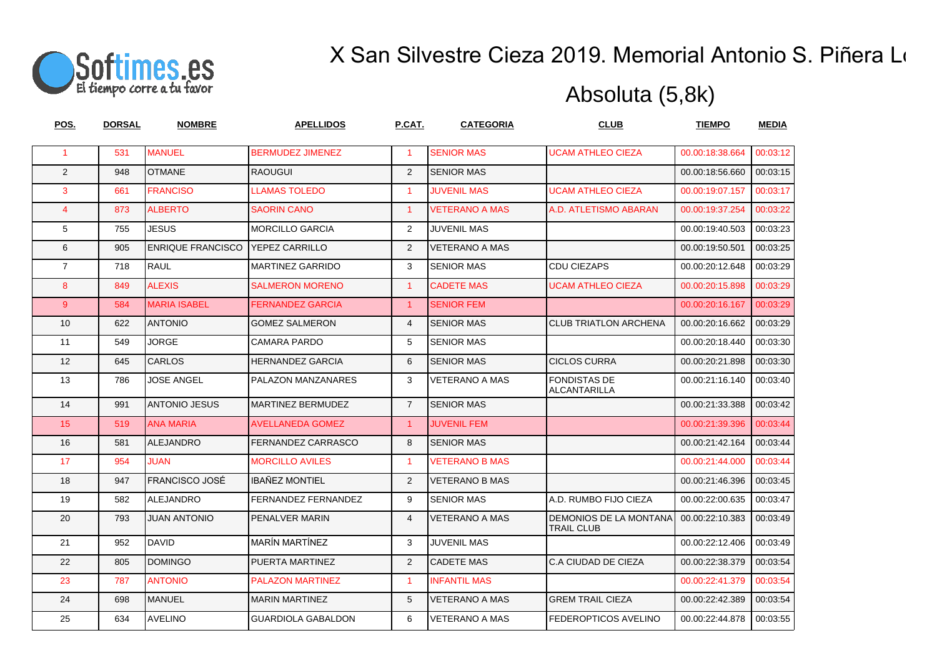

| POS.                 | <b>DORSAL</b> | <b>NOMBRE</b>            | <b>APELLIDOS</b>          | P.CAT.               | <b>CATEGORIA</b>      | <b>CLUB</b>                                 | <b>TIEMPO</b>   | <b>MEDIA</b> |
|----------------------|---------------|--------------------------|---------------------------|----------------------|-----------------------|---------------------------------------------|-----------------|--------------|
| $\blacktriangleleft$ | 531           | <b>MANUEL</b>            | <b>BERMUDEZ JIMENEZ</b>   | $\blacktriangleleft$ | <b>SENIOR MAS</b>     | <b>UCAM ATHLEO CIEZA</b>                    | 00.00:18:38.664 | 00:03:12     |
| 2                    | 948           | <b>OTMANE</b>            | <b>RAOUGUI</b>            | 2                    | <b>SENIOR MAS</b>     |                                             | 00.00:18:56.660 | 00:03:15     |
| 3                    | 661           | <b>FRANCISO</b>          | <b>LLAMAS TOLEDO</b>      | $\blacktriangleleft$ | <b>JUVENIL MAS</b>    | <b>UCAM ATHLEO CIEZA</b>                    | 00.00:19:07.157 | 00:03:17     |
| $\overline{4}$       | 873           | <b>ALBERTO</b>           | <b>SAORIN CANO</b>        | $\blacktriangleleft$ | <b>VETERANO A MAS</b> | A.D. ATLETISMO ABARAN                       | 00.00:19:37.254 | 00:03:22     |
| 5                    | 755           | <b>JESUS</b>             | <b>MORCILLO GARCIA</b>    | 2                    | <b>JUVENIL MAS</b>    |                                             | 00.00:19:40.503 | 00:03:23     |
| 6                    | 905           | <b>ENRIQUE FRANCISCO</b> | YEPEZ CARRILLO            | 2                    | <b>VETERANO A MAS</b> |                                             | 00.00:19:50.501 | 00:03:25     |
| $\overline{7}$       | 718           | <b>RAUL</b>              | <b>MARTINEZ GARRIDO</b>   | 3                    | <b>SENIOR MAS</b>     | <b>CDU CIEZAPS</b>                          | 00.00:20:12.648 | 00:03:29     |
| 8                    | 849           | <b>ALEXIS</b>            | <b>SALMERON MORENO</b>    | $\blacktriangleleft$ | <b>CADETE MAS</b>     | <b>UCAM ATHLEO CIEZA</b>                    | 00.00:20:15.898 | 00:03:29     |
| $9^{\circ}$          | 584           | <b>MARIA ISABEL</b>      | <b>FERNANDEZ GARCIA</b>   | $\mathbf{1}$         | <b>SENIOR FEM</b>     |                                             | 00.00:20:16.167 | 00:03:29     |
| 10                   | 622           | <b>ANTONIO</b>           | <b>GOMEZ SALMERON</b>     | $\overline{4}$       | <b>SENIOR MAS</b>     | <b>CLUB TRIATLON ARCHENA</b>                | 00.00:20:16.662 | 00:03:29     |
| 11                   | 549           | <b>JORGE</b>             | CAMARA PARDO              | 5                    | <b>SENIOR MAS</b>     |                                             | 00.00:20:18.440 | 00:03:30     |
| 12                   | 645           | <b>CARLOS</b>            | <b>HERNANDEZ GARCIA</b>   | 6                    | <b>SENIOR MAS</b>     | <b>CICLOS CURRA</b>                         | 00.00:20:21.898 | 00:03:30     |
| 13                   | 786           | <b>JOSE ANGEL</b>        | PALAZON MANZANARES        | 3                    | <b>VETERANO A MAS</b> | <b>FONDISTAS DE</b><br><b>ALCANTARILLA</b>  | 00.00:21:16.140 | 00:03:40     |
| 14                   | 991           | <b>ANTONIO JESUS</b>     | <b>MARTINEZ BERMUDEZ</b>  | $\overline{7}$       | <b>SENIOR MAS</b>     |                                             | 00.00:21:33.388 | 00:03:42     |
| 15                   | 519           | <b>ANA MARIA</b>         | <b>AVELLANEDA GOMEZ</b>   | $\mathbf{1}$         | <b>JUVENIL FEM</b>    |                                             | 00.00:21:39.396 | 00:03:44     |
| 16                   | 581           | <b>ALEJANDRO</b>         | FERNANDEZ CARRASCO        | 8                    | <b>SENIOR MAS</b>     |                                             | 00.00:21:42.164 | 00:03:44     |
| 17                   | 954           | <b>JUAN</b>              | <b>MORCILLO AVILES</b>    | $\mathbf{1}$         | <b>VETERANO B MAS</b> |                                             | 00.00:21:44.000 | 00:03:44     |
| 18                   | 947           | <b>FRANCISCO JOSÉ</b>    | <b>IBAÑEZ MONTIEL</b>     | 2                    | <b>VETERANO B MAS</b> |                                             | 00.00:21:46.396 | 00:03:45     |
| 19                   | 582           | ALEJANDRO                | FERNANDEZ FERNANDEZ       | 9                    | <b>SENIOR MAS</b>     | A.D. RUMBO FIJO CIEZA                       | 00.00:22:00.635 | 00:03:47     |
| 20                   | 793           | <b>JUAN ANTONIO</b>      | PENALVER MARIN            | $\overline{4}$       | VETERANO A MAS        | DEMONIOS DE LA MONTANA<br><b>TRAIL CLUB</b> | 00.00:22:10.383 | 00:03:49     |
| 21                   | 952           | <b>DAVID</b>             | <b>MARÍN MARTÍNEZ</b>     | 3                    | <b>JUVENIL MAS</b>    |                                             | 00.00:22:12.406 | 00:03:49     |
| 22                   | 805           | <b>DOMINGO</b>           | PUERTA MARTINEZ           | 2                    | <b>CADETE MAS</b>     | C.A CIUDAD DE CIEZA                         | 00.00:22:38.379 | 00:03:54     |
| 23                   | 787           | <b>ANTONIO</b>           | <b>PALAZON MARTINEZ</b>   | $\mathbf{1}$         | <b>INFANTIL MAS</b>   |                                             | 00.00:22:41.379 | 00:03:54     |
| 24                   | 698           | <b>MANUEL</b>            | <b>MARIN MARTINEZ</b>     | 5                    | <b>VETERANO A MAS</b> | <b>GREM TRAIL CIEZA</b>                     | 00.00:22:42.389 | 00:03:54     |
| 25                   | 634           | <b>AVELINO</b>           | <b>GUARDIOLA GABALDON</b> | 6                    | <b>VETERANO A MAS</b> | FEDEROPTICOS AVELINO                        | 00.00:22:44.878 | 00:03:55     |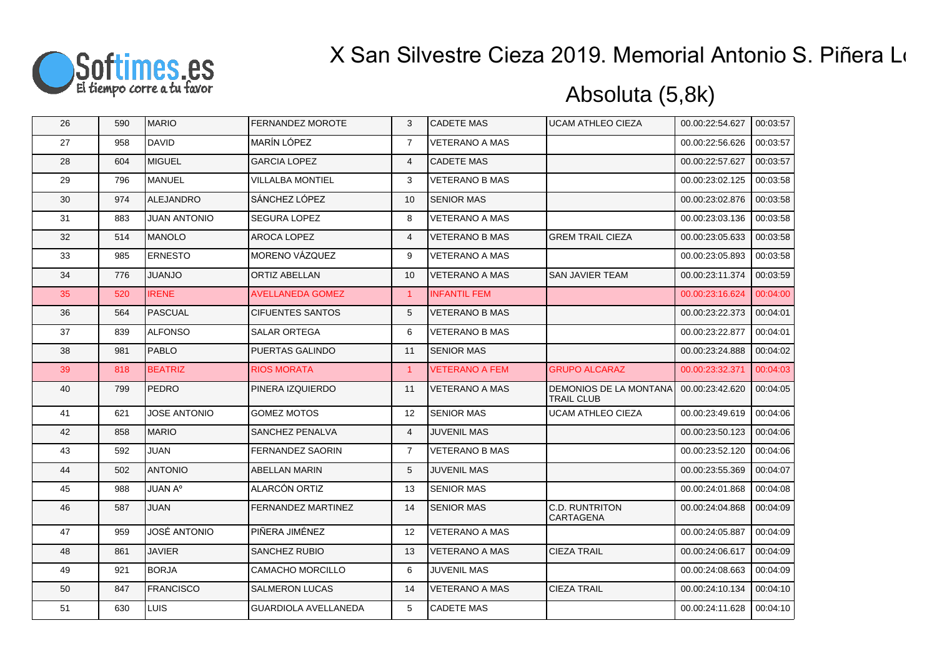

| 26 | 590 | <b>MARIO</b>        | <b>FERNANDEZ MOROTE</b>     | 3                    | <b>CADETE MAS</b>     | <b>UCAM ATHLEO CIEZA</b>                    | 00.00:22:54.627 | 00:03:57 |
|----|-----|---------------------|-----------------------------|----------------------|-----------------------|---------------------------------------------|-----------------|----------|
| 27 | 958 | <b>DAVID</b>        | MARÍN LÓPEZ                 | $\overline{7}$       | <b>VETERANO A MAS</b> |                                             | 00.00:22:56.626 | 00:03:57 |
| 28 | 604 | <b>I</b> MIGUEL     | <b>GARCIA LOPEZ</b>         | $\overline{4}$       | <b>CADETE MAS</b>     |                                             | 00.00:22:57.627 | 00:03:57 |
| 29 | 796 | MANUEL              | VILLALBA MONTIEL            | 3                    | <b>VETERANO B MAS</b> |                                             | 00.00:23:02.125 | 00:03:58 |
| 30 | 974 | ALEJANDRO           | SÁNCHEZ LÓPEZ               | 10                   | <b>SENIOR MAS</b>     |                                             | 00.00:23:02.876 | 00:03:58 |
| 31 | 883 | <b>JUAN ANTONIO</b> | <b>SEGURA LOPEZ</b>         | 8                    | <b>VETERANO A MAS</b> |                                             | 00.00:23:03.136 | 00:03:58 |
| 32 | 514 | <b>IMANOLO</b>      | AROCA LOPEZ                 | $\overline{4}$       | <b>VETERANO B MAS</b> | <b>GREM TRAIL CIEZA</b>                     | 00.00:23:05.633 | 00:03:58 |
| 33 | 985 | <b>ERNESTO</b>      | MORENO VÁZQUEZ              | 9                    | <b>VETERANO A MAS</b> |                                             | 00.00:23:05.893 | 00:03:58 |
| 34 | 776 | <b>OLIANJU</b>      | <b>ORTIZ ABELLAN</b>        | 10                   | <b>VETERANO A MAS</b> | SAN JAVIER TEAM                             | 00.00:23:11.374 | 00:03:59 |
| 35 | 520 | <b>IRENE</b>        | <b>AVELLANEDA GOMEZ</b>     | $\blacktriangleleft$ | <b>INFANTIL FEM</b>   |                                             | 00.00:23:16.624 | 00:04:00 |
| 36 | 564 | PASCUAL             | <b>CIFUENTES SANTOS</b>     | 5                    | <b>VETERANO B MAS</b> |                                             | 00.00:23:22.373 | 00:04:01 |
| 37 | 839 | <b>ALFONSO</b>      | <b>SALAR ORTEGA</b>         | 6                    | <b>VETERANO B MAS</b> |                                             | 00.00:23:22.877 | 00:04:01 |
| 38 | 981 | <b>PABLO</b>        | PUERTAS GALINDO             | 11                   | <b>SENIOR MAS</b>     |                                             | 00.00:23:24.888 | 00:04:02 |
| 39 | 818 | <b>BEATRIZ</b>      | <b>RIOS MORATA</b>          | $\overline{1}$       | <b>VETERANO A FEM</b> | <b>GRUPO ALCARAZ</b>                        | 00.00:23:32.371 | 00:04:03 |
| 40 | 799 | <b>PEDRO</b>        | PINERA IZQUIERDO            | 11                   | VETERANO A MAS        | DEMONIOS DE LA MONTANA<br><b>TRAIL CLUB</b> | 00.00:23:42.620 | 00:04:05 |
| 41 | 621 | <b>JOSE ANTONIO</b> | GOMEZ MOTOS                 | 12                   | <b>SENIOR MAS</b>     | <b>UCAM ATHLEO CIEZA</b>                    | 00.00:23:49.619 | 00:04:06 |
| 42 | 858 | <b>MARIO</b>        | SANCHEZ PENALVA             | $\overline{4}$       | <b>JUVENIL MAS</b>    |                                             | 00.00:23:50.123 | 00:04:06 |
| 43 | 592 | <b>JUAN</b>         | FERNANDEZ SAORIN            | $\overline{7}$       | <b>VETERANO B MAS</b> |                                             | 00.00:23:52.120 | 00:04:06 |
| 44 | 502 | <b>ANTONIO</b>      | <b>ABELLAN MARIN</b>        | 5                    | <b>JUVENIL MAS</b>    |                                             | 00.00:23:55.369 | 00:04:07 |
| 45 | 988 | JUAN A°             | ALARCÓN ORTIZ               | 13                   | <b>SENIOR MAS</b>     |                                             | 00.00:24:01.868 | 00:04:08 |
| 46 | 587 | <b>JUAN</b>         | FERNANDEZ MARTINEZ          | 14                   | <b>SENIOR MAS</b>     | <b>C.D. RUNTRITON</b><br><b>CARTAGENA</b>   | 00.00:24:04.868 | 00:04:09 |
| 47 | 959 | <b>JOSÉ ANTONIO</b> | PIÑERA JIMÉNEZ              | 12                   | <b>VETERANO A MAS</b> |                                             | 00.00:24:05.887 | 00:04:09 |
| 48 | 861 | <b>JAVIER</b>       | <b>SANCHEZ RUBIO</b>        | 13                   | <b>VETERANO A MAS</b> | <b>CIEZA TRAIL</b>                          | 00.00:24:06.617 | 00:04:09 |
| 49 | 921 | <b>BORJA</b>        | CAMACHO MORCILLO            | 6                    | <b>JUVENIL MAS</b>    |                                             | 00.00:24:08.663 | 00:04:09 |
| 50 | 847 | <b>FRANCISCO</b>    | <b>SALMERON LUCAS</b>       | 14                   | <b>VETERANO A MAS</b> | CIEZA TRAIL                                 | 00.00:24:10.134 | 00:04:10 |
| 51 | 630 | <b>I</b> LUIS       | <b>GUARDIOLA AVELLANEDA</b> | 5                    | <b>CADETE MAS</b>     |                                             | 00.00:24:11.628 | 00:04:10 |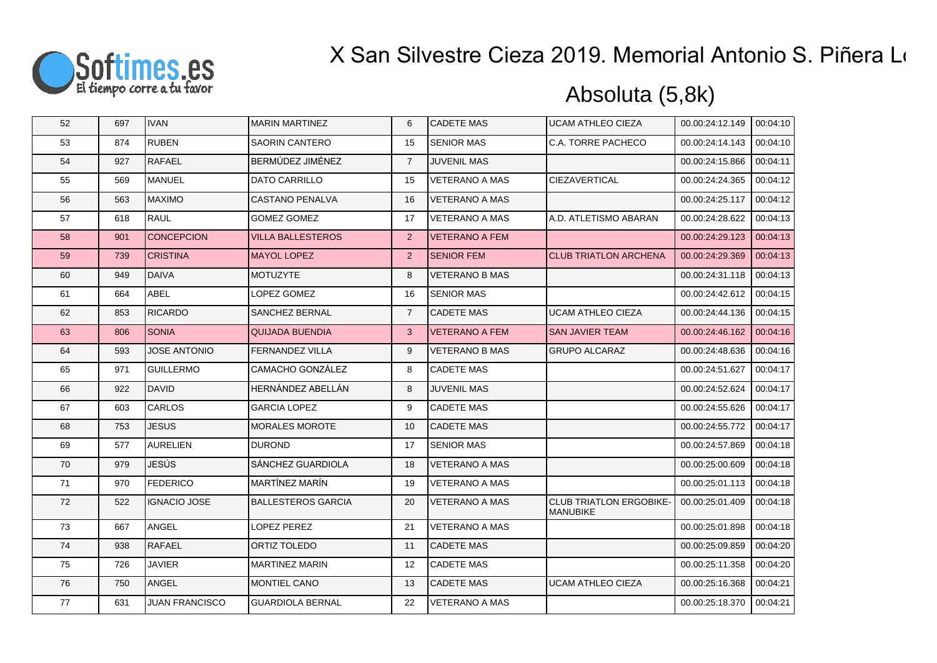

| 52 | 697 | <b>IVAN</b>           | <b>MARIN MARTINEZ</b>     | 6              | <b>CADETE MAS</b>     | <b>UCAM ATHLEO CIEZA</b>                          | 00.00:24:12.149 | 00:04:10 |
|----|-----|-----------------------|---------------------------|----------------|-----------------------|---------------------------------------------------|-----------------|----------|
| 53 | 874 | <b>RUBEN</b>          | <b>SAORIN CANTERO</b>     | 15             | <b>SENIOR MAS</b>     | C.A. TORRE PACHECO                                | 00.00:24:14.143 | 00:04:10 |
| 54 | 927 | <b>RAFAEL</b>         | BERMÚDEZ JIMÉNEZ          | $\overline{7}$ | <b>JUVENIL MAS</b>    |                                                   | 00.00:24:15.866 | 00:04:11 |
| 55 | 569 | MANUEL                | DATO CARRILLO             | 15             | <b>VETERANO A MAS</b> | CIEZAVERTICAL                                     | 00.00:24:24.365 | 00:04:12 |
| 56 | 563 | <b>MAXIMO</b>         | <b>CASTANO PENALVA</b>    | 16             | <b>VETERANO A MAS</b> |                                                   | 00.00:24:25.117 | 00:04:12 |
| 57 | 618 | RAUL                  | <b>GOMEZ GOMEZ</b>        | 17             | VETERANO A MAS        | A.D. ATLETISMO ABARAN                             | 00.00:24:28.622 | 00:04:13 |
| 58 | 901 | <b>CONCEPCION</b>     | <b>VILLA BALLESTEROS</b>  | 2              | <b>VETERANO A FEM</b> |                                                   | 00.00:24:29.123 | 00:04:13 |
| 59 | 739 | <b>CRISTINA</b>       | <b>MAYOL LOPEZ</b>        | 2              | <b>SENIOR FEM</b>     | <b>CLUB TRIATLON ARCHENA</b>                      | 00.00:24:29.369 | 00:04:13 |
| 60 | 949 | <b>I</b> DAIVA        | <b>MOTUZYTE</b>           | 8              | <b>VETERANO B MAS</b> |                                                   | 00.00:24:31.118 | 00:04:13 |
| 61 | 664 | <b>ABEL</b>           | LOPEZ GOMEZ               | 16             | <b>SENIOR MAS</b>     |                                                   | 00.00:24:42.612 | 00:04:15 |
| 62 | 853 | <b>RICARDO</b>        | SANCHEZ BERNAL            | $\overline{7}$ | <b>CADETE MAS</b>     | <b>UCAM ATHLEO CIEZA</b>                          | 00.00:24:44.136 | 00:04:15 |
| 63 | 806 | <b>SONIA</b>          | <b>QUIJADA BUENDIA</b>    | 3              | <b>VETERANO A FEM</b> | <b>SAN JAVIER TEAM</b>                            | 00.00:24:46.162 | 00:04:16 |
| 64 | 593 | <b>JOSE ANTONIO</b>   | FERNANDEZ VILLA           | 9              | VETERANO B MAS        | <b>GRUPO ALCARAZ</b>                              | 00.00:24:48.636 | 00:04:16 |
| 65 | 971 | <b>GUILLERMO</b>      | CAMACHO GONZÁLEZ          | 8              | <b>CADETE MAS</b>     |                                                   | 00.00:24:51.627 | 00:04:17 |
| 66 | 922 | DAVID                 | HERNÁNDEZ ABELLÁN         | 8              | <b>JUVENIL MAS</b>    |                                                   | 00.00:24:52.624 | 00:04:17 |
| 67 | 603 | <b>CARLOS</b>         | <b>GARCIA LOPEZ</b>       | 9              | <b>CADETE MAS</b>     |                                                   | 00.00:24:55.626 | 00:04:17 |
| 68 | 753 | <b>JESUS</b>          | <b>MORALES MOROTE</b>     | 10             | <b>CADETE MAS</b>     |                                                   | 00.00:24:55.772 | 00:04:17 |
| 69 | 577 | <b>AURELIEN</b>       | <b>DUROND</b>             | 17             | <b>SENIOR MAS</b>     |                                                   | 00.00:24:57.869 | 00:04:18 |
| 70 | 979 | JESÚS                 | SÁNCHEZ GUARDIOLA         | 18             | <b>VETERANO A MAS</b> |                                                   | 00.00:25:00.609 | 00:04:18 |
| 71 | 970 | <b>FEDERICO</b>       | MARTÍNEZ MARÍN            | 19             | <b>VETERANO A MAS</b> |                                                   | 00.00:25:01.113 | 00:04:18 |
| 72 | 522 | <b>IGNACIO JOSE</b>   | <b>BALLESTEROS GARCIA</b> | 20             | <b>VETERANO A MAS</b> | <b>CLUB TRIATLON ERGOBIKE-</b><br><b>MANUBIKE</b> | 00.00:25:01.409 | 00:04:18 |
| 73 | 667 | ANGEL                 | LOPEZ PEREZ               | 21             | <b>VETERANO A MAS</b> |                                                   | 00.00:25:01.898 | 00:04:18 |
| 74 | 938 | <b>RAFAEL</b>         | ORTIZ TOLEDO              | 11             | <b>CADETE MAS</b>     |                                                   | 00.00:25:09.859 | 00:04:20 |
| 75 | 726 | <b>JAVIER</b>         | <b>MARTINEZ MARIN</b>     | 12             | <b>CADETE MAS</b>     |                                                   | 00.00:25:11.358 | 00:04:20 |
| 76 | 750 | ANGEL                 | <b>MONTIEL CANO</b>       | 13             | <b>CADETE MAS</b>     | <b>UCAM ATHLEO CIEZA</b>                          | 00.00:25:16.368 | 00:04:21 |
| 77 | 631 | <b>JUAN FRANCISCO</b> | <b>GUARDIOLA BERNAL</b>   | 22             | <b>VETERANO A MAS</b> |                                                   | 00.00:25:18.370 | 00:04:21 |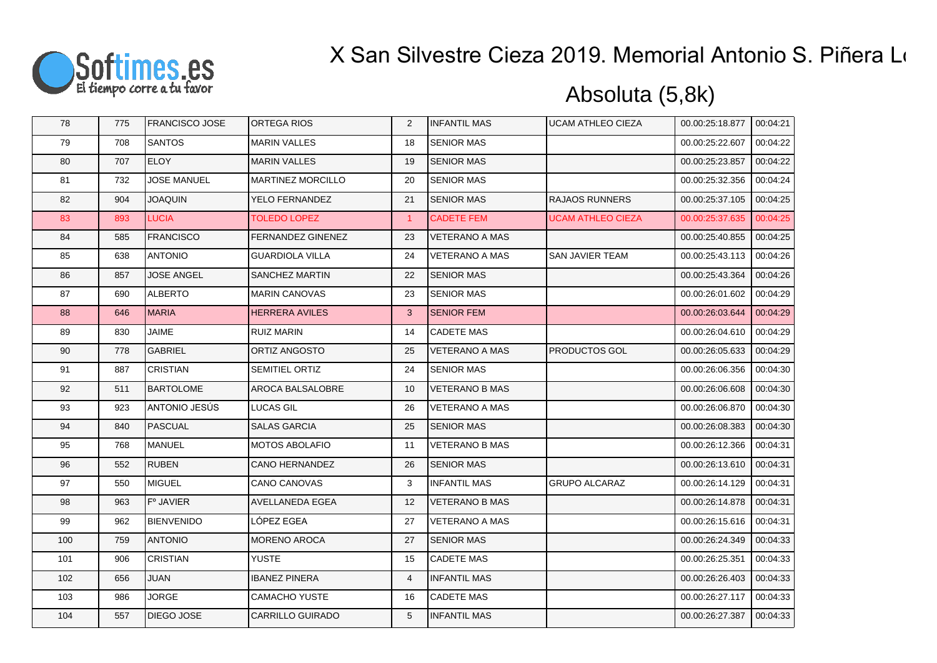

| 78  | 775 | <b>FRANCISCO JOSE</b> | <b>ORTEGA RIOS</b>       | 2              | <b>INFANTIL MAS</b>   | <b>UCAM ATHLEO CIEZA</b> | 00.00:25:18.877 | 00:04:21 |
|-----|-----|-----------------------|--------------------------|----------------|-----------------------|--------------------------|-----------------|----------|
| 79  | 708 | <b>SANTOS</b>         | <b>MARIN VALLES</b>      | 18             | <b>SENIOR MAS</b>     |                          | 00.00:25:22.607 | 00:04:22 |
| 80  | 707 | <b>ELOY</b>           | <b>MARIN VALLES</b>      | 19             | <b>SENIOR MAS</b>     |                          | 00.00:25:23.857 | 00:04:22 |
| 81  | 732 | <b>JOSE MANUEL</b>    | <b>MARTINEZ MORCILLO</b> | 20             | <b>SENIOR MAS</b>     |                          | 00.00:25:32.356 | 00:04:24 |
| 82  | 904 | <b>JOAQUIN</b>        | YELO FERNANDEZ           | 21             | <b>SENIOR MAS</b>     | <b>RAJAOS RUNNERS</b>    | 00.00:25:37.105 | 00:04:25 |
| 83  | 893 | <b>LUCIA</b>          | <b>TOLEDO LOPEZ</b>      | $\mathbf{1}$   | <b>CADETE FEM</b>     | <b>UCAM ATHLEO CIEZA</b> | 00.00:25:37.635 | 00:04:25 |
| 84  | 585 | <b>FRANCISCO</b>      | <b>FERNANDEZ GINENEZ</b> | 23             | <b>VETERANO A MAS</b> |                          | 00.00:25:40.855 | 00:04:25 |
| 85  | 638 | <b>ANTONIO</b>        | <b>GUARDIOLA VILLA</b>   | 24             | <b>VETERANO A MAS</b> | SAN JAVIER TEAM          | 00.00:25:43.113 | 00:04:26 |
| 86  | 857 | <b>JOSE ANGEL</b>     | <b>SANCHEZ MARTIN</b>    | 22             | <b>SENIOR MAS</b>     |                          | 00.00:25:43.364 | 00:04:26 |
| 87  | 690 | <b>ALBERTO</b>        | <b>MARIN CANOVAS</b>     | 23             | <b>SENIOR MAS</b>     |                          | 00.00:26:01.602 | 00:04:29 |
| 88  | 646 | <b>MARIA</b>          | <b>HERRERA AVILES</b>    | $\mathbf{3}$   | <b>SENIOR FEM</b>     |                          | 00.00:26:03.644 | 00:04:29 |
| 89  | 830 | JAIME                 | <b>RUIZ MARIN</b>        | 14             | <b>CADETE MAS</b>     |                          | 00.00:26:04.610 | 00:04:29 |
| 90  | 778 | <b>GABRIEL</b>        | ORTIZ ANGOSTO            | 25             | <b>VETERANO A MAS</b> | PRODUCTOS GOL            | 00.00:26:05.633 | 00:04:29 |
| 91  | 887 | <b>CRISTIAN</b>       | <b>SEMITIEL ORTIZ</b>    | 24             | <b>SENIOR MAS</b>     |                          | 00.00:26:06.356 | 00:04:30 |
| 92  | 511 | <b>BARTOLOME</b>      | AROCA BALSALOBRE         | 10             | <b>VETERANO B MAS</b> |                          | 00.00:26:06.608 | 00:04:30 |
| 93  | 923 | ANTONIO JESÚS         | <b>LUCAS GIL</b>         | 26             | <b>VETERANO A MAS</b> |                          | 00.00:26:06.870 | 00:04:30 |
| 94  | 840 | PASCUAL               | <b>SALAS GARCIA</b>      | 25             | <b>SENIOR MAS</b>     |                          | 00.00:26:08.383 | 00:04:30 |
| 95  | 768 | <b>MANUEL</b>         | <b>MOTOS ABOLAFIO</b>    | 11             | <b>VETERANO B MAS</b> |                          | 00.00:26:12.366 | 00:04:31 |
| 96  | 552 | RUBEN                 | <b>CANO HERNANDEZ</b>    | 26             | <b>SENIOR MAS</b>     |                          | 00.00:26:13.610 | 00:04:31 |
| 97  | 550 | MIGUEL                | CANO CANOVAS             | 3              | <b>INFANTIL MAS</b>   | <b>GRUPO ALCARAZ</b>     | 00.00:26:14.129 | 00:04:31 |
| 98  | 963 | F° JAVIER             | <b>AVELLANEDA EGEA</b>   | 12             | <b>VETERANO B MAS</b> |                          | 00.00:26:14.878 | 00:04:31 |
| 99  | 962 | <b>BIENVENIDO</b>     | LÓPEZ EGEA               | 27             | <b>VETERANO A MAS</b> |                          | 00.00:26:15.616 | 00:04:31 |
| 100 | 759 | <b>ANTONIO</b>        | <b>MORENO AROCA</b>      | 27             | <b>SENIOR MAS</b>     |                          | 00.00:26:24.349 | 00:04:33 |
| 101 | 906 | <b>CRISTIAN</b>       | YUSTE                    | 15             | <b>CADETE MAS</b>     |                          | 00.00:26:25.351 | 00:04:33 |
| 102 | 656 | <b>JUAN</b>           | <b>IBANEZ PINERA</b>     | $\overline{4}$ | <b>INFANTIL MAS</b>   |                          | 00.00:26:26.403 | 00:04:33 |
| 103 | 986 | <b>JORGE</b>          | CAMACHO YUSTE            | 16             | <b>CADETE MAS</b>     |                          | 00.00:26:27.117 | 00:04:33 |
| 104 | 557 | <b>DIEGO JOSE</b>     | <b>CARRILLO GUIRADO</b>  | 5              | <b>INFANTIL MAS</b>   |                          | 00.00:26:27.387 | 00:04:33 |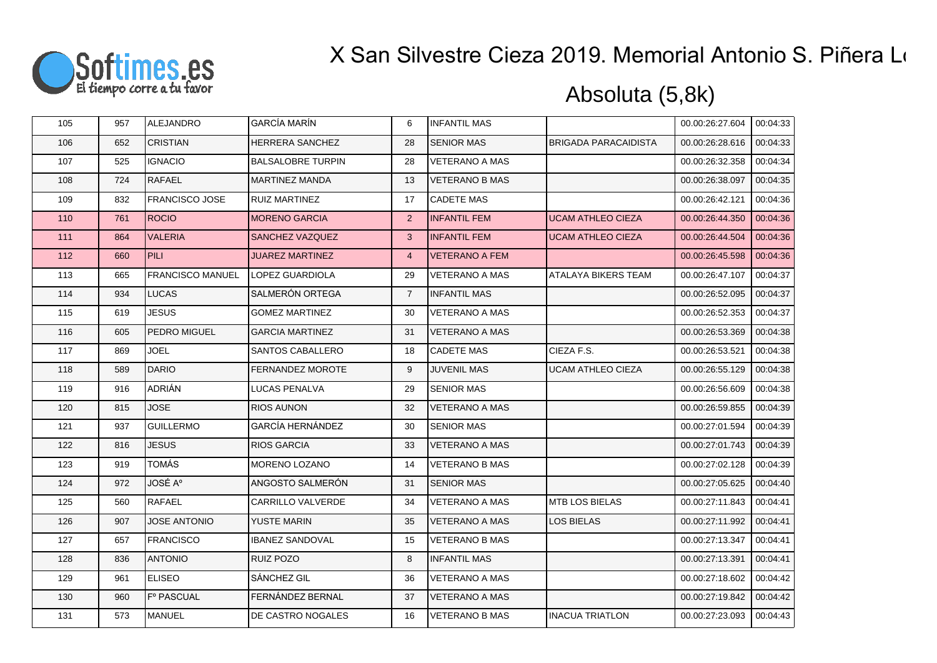

| 105 | 957 | <b>ALEJANDRO</b>      | <b>GARCÍA MARÍN</b>      | 6              | <b>INFANTIL MAS</b>   |                             | 00.00:26:27.604 | 00:04:33 |
|-----|-----|-----------------------|--------------------------|----------------|-----------------------|-----------------------------|-----------------|----------|
| 106 | 652 | <b>CRISTIAN</b>       | HERRERA SANCHEZ          | 28             | <b>SENIOR MAS</b>     | <b>BRIGADA PARACAIDISTA</b> | 00.00:26:28.616 | 00:04:33 |
| 107 | 525 | <b>IGNACIO</b>        | <b>BALSALOBRE TURPIN</b> | 28             | <b>VETERANO A MAS</b> |                             | 00.00:26:32.358 | 00:04:34 |
| 108 | 724 | <b>RAFAEL</b>         | <b>MARTINEZ MANDA</b>    | 13             | <b>VETERANO B MAS</b> |                             | 00.00:26:38.097 | 00:04:35 |
| 109 | 832 | <b>FRANCISCO JOSE</b> | RUIZ MARTINEZ            | 17             | <b>CADETE MAS</b>     |                             | 00.00:26:42.121 | 00:04:36 |
| 110 | 761 | <b>ROCIO</b>          | <b>MORENO GARCIA</b>     | 2              | <b>INFANTIL FEM</b>   | <b>UCAM ATHLEO CIEZA</b>    | 00.00:26:44.350 | 00:04:36 |
| 111 | 864 | <b>VALERIA</b>        | SANCHEZ VAZQUEZ          | $\mathbf{3}$   | <b>INFANTIL FEM</b>   | <b>UCAM ATHLEO CIEZA</b>    | 00.00:26:44.504 | 00:04:36 |
| 112 | 660 | PILI                  | <b>JUAREZ MARTINEZ</b>   | $\overline{4}$ | <b>VETERANO A FEM</b> |                             | 00.00:26:45.598 | 00:04:36 |
| 113 | 665 | FRANCISCO MANUEL      | LOPEZ GUARDIOLA          | 29             | <b>VETERANO A MAS</b> | <b>ATALAYA BIKERS TEAM</b>  | 00.00:26:47.107 | 00:04:37 |
| 114 | 934 | <b>LUCAS</b>          | SALMERÓN ORTEGA          | $\overline{7}$ | <b>INFANTIL MAS</b>   |                             | 00.00:26:52.095 | 00:04:37 |
| 115 | 619 | <b>JESUS</b>          | <b>GOMEZ MARTINEZ</b>    | 30             | <b>VETERANO A MAS</b> |                             | 00.00:26:52.353 | 00:04:37 |
| 116 | 605 | PEDRO MIGUEL          | <b>GARCIA MARTINEZ</b>   | 31             | <b>VETERANO A MAS</b> |                             | 00.00:26:53.369 | 00:04:38 |
| 117 | 869 | <b>JOEL</b>           | SANTOS CABALLERO         | 18             | <b>CADETE MAS</b>     | CIEZA F.S.                  | 00.00:26:53.521 | 00:04:38 |
| 118 | 589 | <b>DARIO</b>          | <b>FERNANDEZ MOROTE</b>  | 9              | <b>JUVENIL MAS</b>    | <b>UCAM ATHLEO CIEZA</b>    | 00.00:26:55.129 | 00:04:38 |
| 119 | 916 | ADRIÁN                | LUCAS PENALVA            | 29             | <b>SENIOR MAS</b>     |                             | 00.00:26:56.609 | 00:04:38 |
| 120 | 815 | <b>JOSE</b>           | <b>RIOS AUNON</b>        | 32             | <b>VETERANO A MAS</b> |                             | 00.00:26:59.855 | 00:04:39 |
| 121 | 937 | <b>GUILLERMO</b>      | <b>GARCÍA HERNÁNDEZ</b>  | 30             | <b>SENIOR MAS</b>     |                             | 00.00:27:01.594 | 00:04:39 |
| 122 | 816 | <b>JESUS</b>          | RIOS GARCIA              | 33             | <b>VETERANO A MAS</b> |                             | 00.00:27:01.743 | 00:04:39 |
| 123 | 919 | TOMÁS                 | <b>MORENO LOZANO</b>     | 14             | <b>VETERANO B MAS</b> |                             | 00.00:27:02.128 | 00:04:39 |
| 124 | 972 | <b>JOSÉ A°</b>        | ANGOSTO SALMERÓN         | 31             | <b>SENIOR MAS</b>     |                             | 00.00:27:05.625 | 00:04:40 |
| 125 | 560 | <b>RAFAEL</b>         | CARRILLO VALVERDE        | 34             | <b>VETERANO A MAS</b> | <b>MTB LOS BIELAS</b>       | 00.00:27:11.843 | 00:04:41 |
| 126 | 907 | <b>JOSE ANTONIO</b>   | YUSTE MARIN              | 35             | <b>VETERANO A MAS</b> | LOS BIELAS                  | 00.00:27:11.992 | 00:04:41 |
| 127 | 657 | <b>FRANCISCO</b>      | <b>IBANEZ SANDOVAL</b>   | 15             | <b>VETERANO B MAS</b> |                             | 00.00:27:13.347 | 00:04:41 |
| 128 | 836 | <b>ANTONIO</b>        | RUIZ POZO                | 8              | <b>INFANTIL MAS</b>   |                             | 00.00:27:13.391 | 00:04:41 |
| 129 | 961 | <b>ELISEO</b>         | SÁNCHEZ GIL              | 36             | <b>VETERANO A MAS</b> |                             | 00.00:27:18.602 | 00:04:42 |
| 130 | 960 | F° PASCUAL            | FERNÁNDEZ BERNAL         | 37             | <b>VETERANO A MAS</b> |                             | 00.00:27:19.842 | 00:04:42 |
| 131 | 573 | MANUEL                | DE CASTRO NOGALES        | 16             | <b>VETERANO B MAS</b> | <b>INACUA TRIATLON</b>      | 00.00:27:23.093 | 00:04:43 |
|     |     |                       |                          |                |                       |                             |                 |          |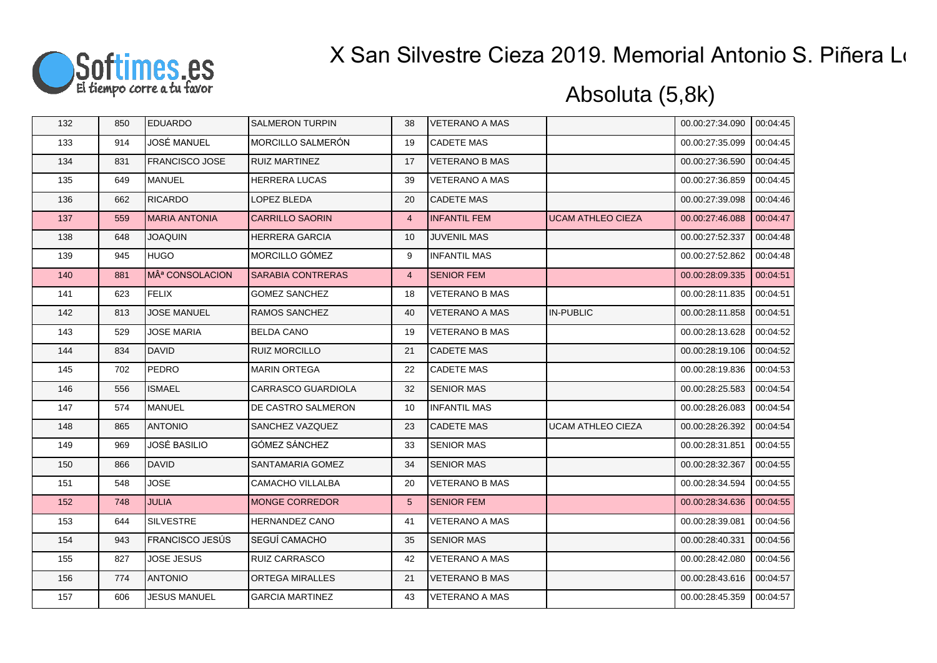

| 132 | 850 | <b>EDUARDO</b>              | <b>SALMERON TURPIN</b>    | 38              | <b>VETERANO A MAS</b> |                          | 00.00:27:34.090 | 00:04:45 |
|-----|-----|-----------------------------|---------------------------|-----------------|-----------------------|--------------------------|-----------------|----------|
| 133 | 914 | JOSÉ MANUEL                 | MORCILLO SALMERÓN         | 19              | <b>CADETE MAS</b>     |                          | 00.00:27:35.099 | 00:04:45 |
| 134 | 831 | <b>FRANCISCO JOSE</b>       | <b>RUIZ MARTINEZ</b>      | 17              | <b>VETERANO B MAS</b> |                          | 00.00:27:36.590 | 00:04:45 |
| 135 | 649 | MANUEL                      | <b>HERRERA LUCAS</b>      | 39              | <b>VETERANO A MAS</b> |                          | 00.00:27:36.859 | 00:04:45 |
| 136 | 662 | <b>RICARDO</b>              | LOPEZ BLEDA               | 20              | <b>CADETE MAS</b>     |                          | 00.00:27:39.098 | 00:04:46 |
| 137 | 559 | <b>MARIA ANTONIA</b>        | <b>CARRILLO SAORIN</b>    | $\overline{4}$  | <b>INFANTIL FEM</b>   | <b>UCAM ATHLEO CIEZA</b> | 00.00:27:46.088 | 00:04:47 |
| 138 | 648 | <b>JOAQUIN</b>              | <b>HERRERA GARCIA</b>     | 10              | <b>JUVENIL MAS</b>    |                          | 00.00:27:52.337 | 00:04:48 |
| 139 | 945 | <b>I</b> HUGO               | <b>MORCILLO GÓMEZ</b>     | 9               | <b>INFANTIL MAS</b>   |                          | 00.00:27:52.862 | 00:04:48 |
| 140 | 881 | MÂ <sup>ª</sup> CONSOLACION | <b>SARABIA CONTRERAS</b>  | $\overline{4}$  | <b>SENIOR FEM</b>     |                          | 00.00:28:09.335 | 00:04:51 |
| 141 | 623 | <b>FELIX</b>                | <b>GOMEZ SANCHEZ</b>      | 18              | <b>VETERANO B MAS</b> |                          | 00.00:28:11.835 | 00:04:51 |
| 142 | 813 | <b>JOSE MANUEL</b>          | <b>RAMOS SANCHEZ</b>      | 40              | <b>VETERANO A MAS</b> | <b>IN-PUBLIC</b>         | 00.00:28:11.858 | 00:04:51 |
| 143 | 529 | <b>JOSE MARIA</b>           | <b>BELDA CANO</b>         | 19              | <b>VETERANO B MAS</b> |                          | 00.00:28:13.628 | 00:04:52 |
| 144 | 834 | DAVID                       | <b>RUIZ MORCILLO</b>      | 21              | <b>CADETE MAS</b>     |                          | 00.00:28:19.106 | 00:04:52 |
| 145 | 702 | <b>PEDRO</b>                | <b>MARIN ORTEGA</b>       | 22              | <b>CADETE MAS</b>     |                          | 00.00:28:19.836 | 00:04:53 |
| 146 | 556 | <b>ISMAEL</b>               | <b>CARRASCO GUARDIOLA</b> | 32              | <b>SENIOR MAS</b>     |                          | 00.00:28:25.583 | 00:04:54 |
| 147 | 574 | MANUEL                      | DE CASTRO SALMERON        | 10              | <b>INFANTIL MAS</b>   |                          | 00.00:28:26.083 | 00:04:54 |
| 148 | 865 | <b>ANTONIO</b>              | SANCHEZ VAZQUEZ           | 23              | <b>CADETE MAS</b>     | <b>UCAM ATHLEO CIEZA</b> | 00.00:28:26.392 | 00:04:54 |
| 149 | 969 | <b>JOSÉ BASILIO</b>         | <b>GÓMEZ SÁNCHEZ</b>      | 33              | <b>SENIOR MAS</b>     |                          | 00.00:28:31.851 | 00:04:55 |
| 150 | 866 | DAVID                       | SANTAMARIA GOMEZ          | 34              | <b>SENIOR MAS</b>     |                          | 00.00:28:32.367 | 00:04:55 |
| 151 | 548 | <b>JOSE</b>                 | CAMACHO VILLALBA          | 20              | <b>VETERANO B MAS</b> |                          | 00.00:28:34.594 | 00:04:55 |
| 152 | 748 | <b>JULIA</b>                | <b>MONGE CORREDOR</b>     | $5\phantom{.0}$ | <b>SENIOR FEM</b>     |                          | 00.00:28:34.636 | 00:04:55 |
| 153 | 644 | <b>SILVESTRE</b>            | <b>HERNANDEZ CANO</b>     | 41              | <b>VETERANO A MAS</b> |                          | 00.00:28:39.081 | 00:04:56 |
| 154 | 943 | <b>FRANCISCO JESÚS</b>      | <b>SEGUÍ CAMACHO</b>      | 35              | <b>SENIOR MAS</b>     |                          | 00.00:28:40.331 | 00:04:56 |
| 155 | 827 | <b>JOSE JESUS</b>           | <b>RUIZ CARRASCO</b>      | 42              | <b>VETERANO A MAS</b> |                          | 00.00:28:42.080 | 00:04:56 |
| 156 | 774 | <b>ANTONIO</b>              | <b>ORTEGA MIRALLES</b>    | 21              | <b>VETERANO B MAS</b> |                          | 00.00:28:43.616 | 00:04:57 |
| 157 | 606 | <b>JESUS MANUEL</b>         | <b>GARCIA MARTINEZ</b>    | 43              | <b>VETERANO A MAS</b> |                          | 00.00:28:45.359 | 00:04:57 |
|     |     |                             |                           |                 |                       |                          |                 |          |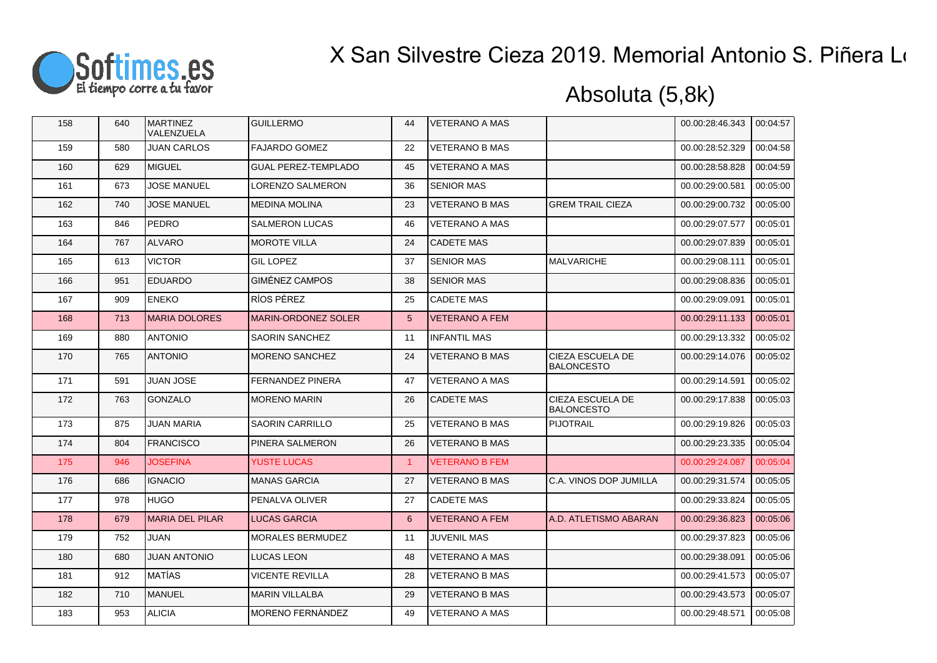

| 158 | 640 | <b>MARTINEZ</b><br>VALENZUELA | <b>GUILLERMO</b>           | 44             | <b>VETERANO A MAS</b> |                                       | 00.00:28:46.343 | 00:04:57 |
|-----|-----|-------------------------------|----------------------------|----------------|-----------------------|---------------------------------------|-----------------|----------|
| 159 | 580 | <b>JUAN CARLOS</b>            | <b>FAJARDO GOMEZ</b>       | 22             | <b>VETERANO B MAS</b> |                                       | 00.00:28:52.329 | 00:04:58 |
| 160 | 629 | MIGUEL                        | <b>GUAL PEREZ-TEMPLADO</b> | 45             | <b>VETERANO A MAS</b> |                                       | 00.00:28:58.828 | 00:04:59 |
| 161 | 673 | <b>JOSE MANUEL</b>            | LORENZO SALMERON           | 36             | <b>SENIOR MAS</b>     |                                       | 00.00:29:00.581 | 00:05:00 |
| 162 | 740 | <b>JOSE MANUEL</b>            | <b>MEDINA MOLINA</b>       | 23             | <b>VETERANO B MAS</b> | <b>GREM TRAIL CIEZA</b>               | 00.00:29:00.732 | 00:05:00 |
| 163 | 846 | <b>PEDRO</b>                  | SALMERON LUCAS             | 46             | <b>VETERANO A MAS</b> |                                       | 00.00:29:07.577 | 00:05:01 |
| 164 | 767 | <b>ALVARO</b>                 | <b>MOROTE VILLA</b>        | 24             | <b>CADETE MAS</b>     |                                       | 00.00:29:07.839 | 00:05:01 |
| 165 | 613 | <b>VICTOR</b>                 | <b>GIL LOPEZ</b>           | 37             | <b>SENIOR MAS</b>     | <b>MALVARICHE</b>                     | 00.00:29:08.111 | 00:05:01 |
| 166 | 951 | <b>EDUARDO</b>                | <b>GIMÉNEZ CAMPOS</b>      | 38             | <b>SENIOR MAS</b>     |                                       | 00.00:29:08.836 | 00:05:01 |
| 167 | 909 | <b>ENEKO</b>                  | RÍOS PÉREZ                 | 25             | <b>CADETE MAS</b>     |                                       | 00.00:29:09.091 | 00:05:01 |
| 168 | 713 | <b>MARIA DOLORES</b>          | <b>MARIN-ORDONEZ SOLER</b> | $5\phantom{1}$ | <b>VETERANO A FEM</b> |                                       | 00.00:29:11.133 | 00:05:01 |
| 169 | 880 | <b>ANTONIO</b>                | <b>SAORIN SANCHEZ</b>      | 11             | <b>INFANTIL MAS</b>   |                                       | 00.00:29:13.332 | 00:05:02 |
| 170 | 765 | <b>ANTONIO</b>                | <b>MORENO SANCHEZ</b>      | 24             | <b>VETERANO B MAS</b> | CIEZA ESCUELA DE<br><b>BALONCESTO</b> | 00.00:29:14.076 | 00:05:02 |
| 171 | 591 | JUAN JOSE                     | FERNANDEZ PINERA           | 47             | <b>VETERANO A MAS</b> |                                       | 00.00:29:14.591 | 00:05:02 |
| 172 | 763 | GONZALO                       | <b>MORENO MARIN</b>        | 26             | <b>CADETE MAS</b>     | CIEZA ESCUELA DE<br><b>BALONCESTO</b> | 00.00:29:17.838 | 00:05:03 |
| 173 | 875 | <b>JUAN MARIA</b>             | SAORIN CARRILLO            | 25             | <b>VETERANO B MAS</b> | <b>PIJOTRAIL</b>                      | 00.00:29:19.826 | 00:05:03 |
| 174 | 804 | <b>FRANCISCO</b>              | PINERA SALMERON            | 26             | <b>VETERANO B MAS</b> |                                       | 00.00:29:23.335 | 00:05:04 |
| 175 | 946 | <b>JOSEFINA</b>               | <b>YUSTE LUCAS</b>         | $\mathbf{1}$   | <b>VETERANO B FEM</b> |                                       | 00.00:29:24.087 | 00:05:04 |
| 176 | 686 | <b>IGNACIO</b>                | <b>MANAS GARCIA</b>        | 27             | <b>VETERANO B MAS</b> | C.A. VINOS DOP JUMILLA                | 00.00:29:31.574 | 00:05:05 |
| 177 | 978 | <b>HUGO</b>                   | PENALVA OLIVER             | 27             | <b>CADETE MAS</b>     |                                       | 00.00:29:33.824 | 00:05:05 |
| 178 | 679 | <b>MARIA DEL PILAR</b>        | <b>LUCAS GARCIA</b>        | 6              | <b>VETERANO A FEM</b> | A.D. ATLETISMO ABARAN                 | 00.00:29:36.823 | 00:05:06 |
| 179 | 752 | JUAN                          | <b>MORALES BERMUDEZ</b>    | 11             | <b>JUVENIL MAS</b>    |                                       | 00.00:29:37.823 | 00:05:06 |
| 180 | 680 | <b>JUAN ANTONIO</b>           | <b>LUCAS LEON</b>          | 48             | <b>VETERANO A MAS</b> |                                       | 00.00:29:38.091 | 00:05:06 |
| 181 | 912 | IMATÍAS                       | <b>VICENTE REVILLA</b>     | 28             | <b>VETERANO B MAS</b> |                                       | 00.00:29:41.573 | 00:05:07 |
| 182 | 710 | MANUEL                        | <b>MARIN VILLALBA</b>      | 29             | <b>VETERANO B MAS</b> |                                       | 00.00:29:43.573 | 00:05:07 |
| 183 | 953 | <b>ALICIA</b>                 | <b>MORENO FERNÁNDEZ</b>    | 49             | <b>VETERANO A MAS</b> |                                       | 00.00:29:48.571 | 00:05:08 |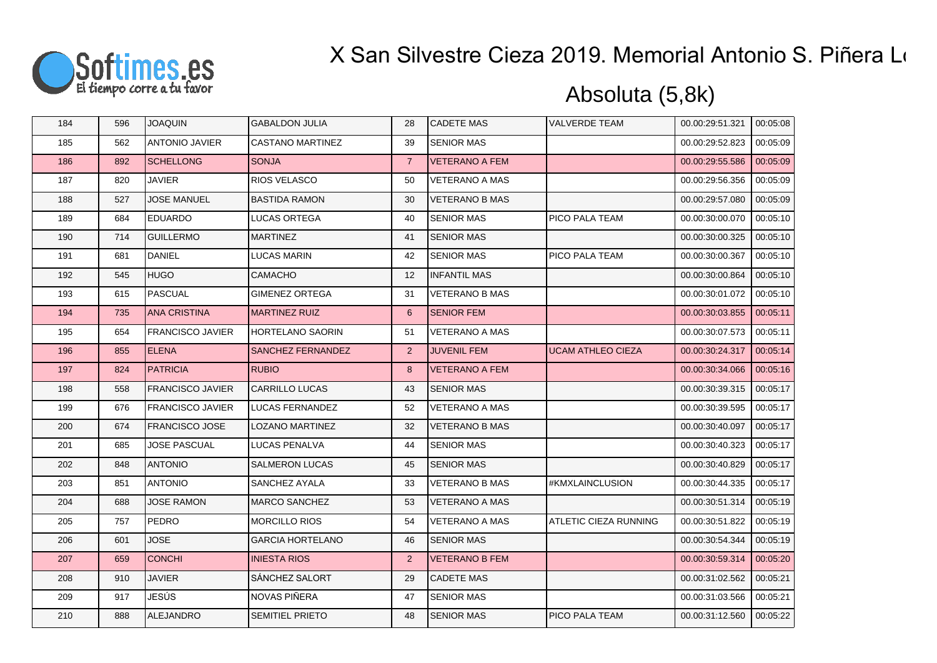

| 184 | 596 | <b>JOAQUIN</b>          | <b>GABALDON JULIA</b>   | 28             | <b>CADETE MAS</b>     | <b>VALVERDE TEAM</b>     | 00.00:29:51.321 | 00:05:08 |
|-----|-----|-------------------------|-------------------------|----------------|-----------------------|--------------------------|-----------------|----------|
| 185 | 562 | <b>ANTONIO JAVIER</b>   | <b>CASTANO MARTINEZ</b> | 39             | <b>SENIOR MAS</b>     |                          | 00.00:29:52.823 | 00:05:09 |
| 186 | 892 | <b>SCHELLONG</b>        | <b>SONJA</b>            | $\overline{7}$ | <b>VETERANO A FEM</b> |                          | 00.00:29:55.586 | 00:05:09 |
| 187 | 820 | JAVIER                  | <b>RIOS VELASCO</b>     | 50             | <b>VETERANO A MAS</b> |                          | 00.00:29:56.356 | 00:05:09 |
| 188 | 527 | <b>JOSE MANUEL</b>      | <b>BASTIDA RAMON</b>    | 30             | <b>VETERANO B MAS</b> |                          | 00.00:29:57.080 | 00:05:09 |
| 189 | 684 | <b>EDUARDO</b>          | LUCAS ORTEGA            | 40             | <b>SENIOR MAS</b>     | PICO PALA TEAM           | 00.00:30:00.070 | 00:05:10 |
| 190 | 714 | <b>GUILLERMO</b>        | <b>MARTINEZ</b>         | 41             | <b>SENIOR MAS</b>     |                          | 00.00:30:00.325 | 00:05:10 |
| 191 | 681 | <b>DANIEL</b>           | LUCAS MARIN             | 42             | <b>SENIOR MAS</b>     | PICO PALA TEAM           | 00.00:30:00.367 | 00:05:10 |
| 192 | 545 | <b>HUGO</b>             | <b>CAMACHO</b>          | 12             | <b>INFANTIL MAS</b>   |                          | 00.00:30:00.864 | 00:05:10 |
| 193 | 615 | PASCUAL                 | <b>GIMENEZ ORTEGA</b>   | 31             | <b>VETERANO B MAS</b> |                          | 00.00:30:01.072 | 00:05:10 |
| 194 | 735 | <b>ANA CRISTINA</b>     | <b>MARTINEZ RUIZ</b>    | 6              | <b>SENIOR FEM</b>     |                          | 00.00:30:03.855 | 00:05:11 |
| 195 | 654 | <b>FRANCISCO JAVIER</b> | <b>HORTELANO SAORIN</b> | 51             | VETERANO A MAS        |                          | 00.00:30:07.573 | 00:05:11 |
| 196 | 855 | <b>ELENA</b>            | SANCHEZ FERNANDEZ       | 2              | <b>JUVENIL FEM</b>    | <b>UCAM ATHLEO CIEZA</b> | 00.00:30:24.317 | 00:05:14 |
| 197 | 824 | <b>PATRICIA</b>         | <b>RUBIO</b>            | 8              | <b>VETERANO A FEM</b> |                          | 00.00:30:34.066 | 00:05:16 |
| 198 | 558 | <b>FRANCISCO JAVIER</b> | <b>CARRILLO LUCAS</b>   | 43             | <b>SENIOR MAS</b>     |                          | 00.00:30:39.315 | 00:05:17 |
| 199 | 676 | <b>FRANCISCO JAVIER</b> | <b>LUCAS FERNANDEZ</b>  | 52             | <b>VETERANO A MAS</b> |                          | 00.00:30:39.595 | 00:05:17 |
| 200 | 674 | <b>FRANCISCO JOSE</b>   | LOZANO MARTINEZ         | 32             | <b>VETERANO B MAS</b> |                          | 00.00:30:40.097 | 00:05:17 |
| 201 | 685 | <b>JOSE PASCUAL</b>     | LUCAS PENALVA           | 44             | <b>SENIOR MAS</b>     |                          | 00.00:30:40.323 | 00:05:17 |
| 202 | 848 | <b>ANTONIO</b>          | <b>SALMERON LUCAS</b>   | 45             | <b>SENIOR MAS</b>     |                          | 00.00:30:40.829 | 00:05:17 |
| 203 | 851 | <b>ANTONIO</b>          | SANCHEZ AYALA           | 33             | <b>VETERANO B MAS</b> | #KMXLAINCLUSION          | 00.00:30:44.335 | 00:05:17 |
| 204 | 688 | <b>JOSE RAMON</b>       | <b>MARCO SANCHEZ</b>    | 53             | <b>VETERANO A MAS</b> |                          | 00.00:30:51.314 | 00:05:19 |
| 205 | 757 | PEDRO                   | <b>MORCILLO RIOS</b>    | 54             | <b>VETERANO A MAS</b> | ATLETIC CIEZA RUNNING    | 00.00:30:51.822 | 00:05:19 |
| 206 | 601 | <b>JOSE</b>             | <b>GARCIA HORTELANO</b> | 46             | <b>SENIOR MAS</b>     |                          | 00.00:30:54.344 | 00:05:19 |
| 207 | 659 | <b>CONCHI</b>           | <b>INIESTA RIOS</b>     | $\overline{2}$ | <b>VETERANO B FEM</b> |                          | 00.00:30:59.314 | 00:05:20 |
| 208 | 910 | <b>JAVIER</b>           | SÁNCHEZ SALORT          | 29             | <b>CADETE MAS</b>     |                          | 00.00:31:02.562 | 00:05:21 |
| 209 | 917 | JESÚS                   | NOVAS PIÑERA            | 47             | <b>SENIOR MAS</b>     |                          | 00.00:31:03.566 | 00:05:21 |
| 210 | 888 | ALEJANDRO               | <b>SEMITIEL PRIETO</b>  | 48             | <b>SENIOR MAS</b>     | PICO PALA TEAM           | 00.00:31:12.560 | 00:05:22 |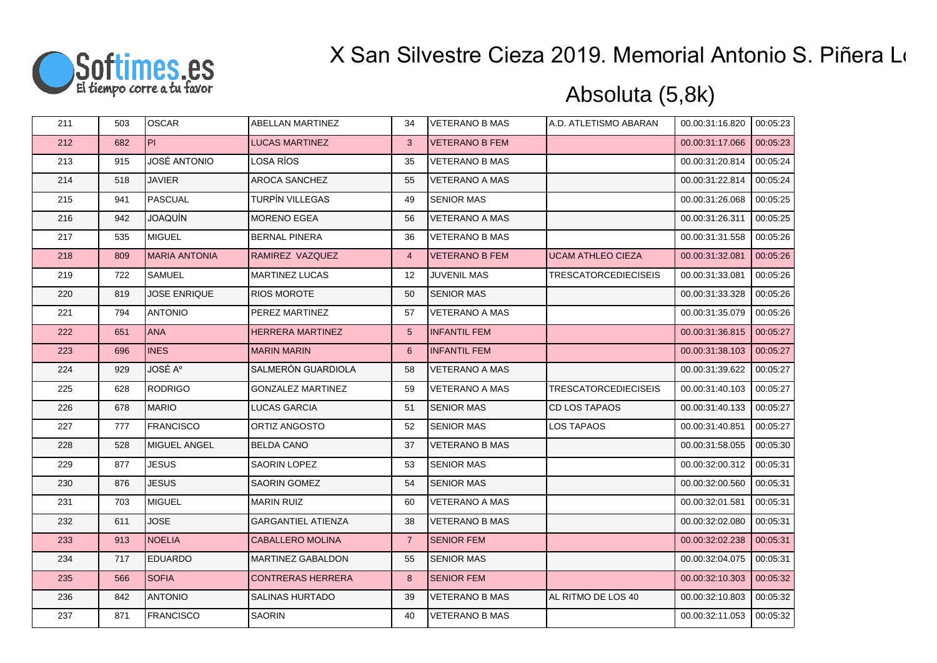

| 211 | 503 | <b>OSCAR</b>         | ABELLAN MARTINEZ          | 34                | <b>VETERANO B MAS</b> | A.D. ATLETISMO ABARAN       | 00.00:31:16.820 | 00:05:23 |
|-----|-----|----------------------|---------------------------|-------------------|-----------------------|-----------------------------|-----------------|----------|
| 212 | 682 | PL.                  | <b>LUCAS MARTINEZ</b>     | 3                 | <b>VETERANO B FEM</b> |                             | 00.00:31:17.066 | 00:05:23 |
| 213 | 915 | JOSÉ ANTONIO         | LOSA RÍOS                 | 35                | <b>VETERANO B MAS</b> |                             | 00.00:31:20.814 | 00:05:24 |
| 214 | 518 | <b>JAVIER</b>        | AROCA SANCHEZ             | 55                | <b>VETERANO A MAS</b> |                             | 00.00:31:22.814 | 00:05:24 |
| 215 | 941 | <b>PASCUAL</b>       | TURPÍN VILLEGAS           | 49                | <b>SENIOR MAS</b>     |                             | 00.00:31:26.068 | 00:05:25 |
| 216 | 942 | <b>JOAQUÍN</b>       | <b>MORENO EGEA</b>        | 56                | <b>VETERANO A MAS</b> |                             | 00.00:31:26.311 | 00:05:25 |
| 217 | 535 | <b>MIGUEL</b>        | <b>BERNAL PINERA</b>      | 36                | <b>VETERANO B MAS</b> |                             | 00.00:31:31.558 | 00:05:26 |
| 218 | 809 | <b>MARIA ANTONIA</b> | RAMIREZ VAZQUEZ           | $\overline{4}$    | <b>VETERANO B FEM</b> | <b>UCAM ATHLEO CIEZA</b>    | 00.00:31:32.081 | 00:05:26 |
| 219 | 722 | <b>SAMUEL</b>        | <b>MARTINEZ LUCAS</b>     | $12 \overline{ }$ | <b>JUVENIL MAS</b>    | <b>TRESCATORCEDIECISEIS</b> | 00.00:31:33.081 | 00:05:26 |
| 220 | 819 | <b>JOSE ENRIQUE</b>  | <b>RIOS MOROTE</b>        | 50                | <b>SENIOR MAS</b>     |                             | 00.00:31:33.328 | 00:05:26 |
| 221 | 794 | <b>ANTONIO</b>       | PEREZ MARTINEZ            | 57                | <b>VETERANO A MAS</b> |                             | 00.00:31:35.079 | 00:05:26 |
| 222 | 651 | <b>ANA</b>           | HERRERA MARTINEZ          | $5\phantom{.0}$   | <b>INFANTIL FEM</b>   |                             | 00.00:31:36.815 | 00:05:27 |
| 223 | 696 | <b>INES</b>          | <b>MARIN MARIN</b>        | 6                 | <b>INFANTIL FEM</b>   |                             | 00.00:31:38.103 | 00:05:27 |
| 224 | 929 | JOSÉ A°              | SALMERÓN GUARDIOLA        | 58                | <b>VETERANO A MAS</b> |                             | 00.00:31:39.622 | 00:05:27 |
| 225 | 628 | <b>RODRIGO</b>       | <b>GONZALEZ MARTINEZ</b>  | 59                | <b>VETERANO A MAS</b> | <b>TRESCATORCEDIECISEIS</b> | 00.00:31:40.103 | 00:05:27 |
| 226 | 678 | <b>MARIO</b>         | <b>LUCAS GARCIA</b>       | 51                | <b>SENIOR MAS</b>     | CD LOS TAPAOS               | 00.00:31:40.133 | 00:05:27 |
| 227 | 777 | <b>FRANCISCO</b>     | ORTIZ ANGOSTO             | 52                | <b>SENIOR MAS</b>     | LOS TAPAOS                  | 00.00:31:40.851 | 00:05:27 |
| 228 | 528 | MIGUEL ANGEL         | <b>BELDA CANO</b>         | 37                | <b>VETERANO B MAS</b> |                             | 00.00:31:58.055 | 00:05:30 |
| 229 | 877 | <b>JESUS</b>         | SAORIN LOPEZ              | 53                | <b>SENIOR MAS</b>     |                             | 00.00:32:00.312 | 00:05:31 |
| 230 | 876 | <b>JESUS</b>         | SAORIN GOMEZ              | 54                | <b>SENIOR MAS</b>     |                             | 00.00:32:00.560 | 00:05:31 |
| 231 | 703 | <b>MIGUEL</b>        | <b>MARIN RUIZ</b>         | 60                | <b>VETERANO A MAS</b> |                             | 00.00:32:01.581 | 00:05:31 |
| 232 | 611 | <b>JOSE</b>          | <b>GARGANTIEL ATIENZA</b> | 38                | <b>VETERANO B MAS</b> |                             | 00.00:32:02.080 | 00:05:31 |
| 233 | 913 | <b>NOELIA</b>        | <b>CABALLERO MOLINA</b>   | $\overline{7}$    | <b>SENIOR FEM</b>     |                             | 00.00:32:02.238 | 00:05:31 |
| 234 | 717 | <b>EDUARDO</b>       | <b>MARTINEZ GABALDON</b>  | 55                | <b>SENIOR MAS</b>     |                             | 00.00:32:04.075 | 00:05:31 |
| 235 | 566 | <b>SOFIA</b>         | <b>CONTRERAS HERRERA</b>  | 8                 | <b>SENIOR FEM</b>     |                             | 00.00:32:10.303 | 00:05:32 |
| 236 | 842 | <b>ANTONIO</b>       | SALINAS HURTADO           | 39                | <b>VETERANO B MAS</b> | AL RITMO DE LOS 40          | 00.00:32:10.803 | 00:05:32 |
| 237 | 871 | <b>FRANCISCO</b>     | SAORIN                    | 40                | <b>VETERANO B MAS</b> |                             | 00.00:32:11.053 | 00:05:32 |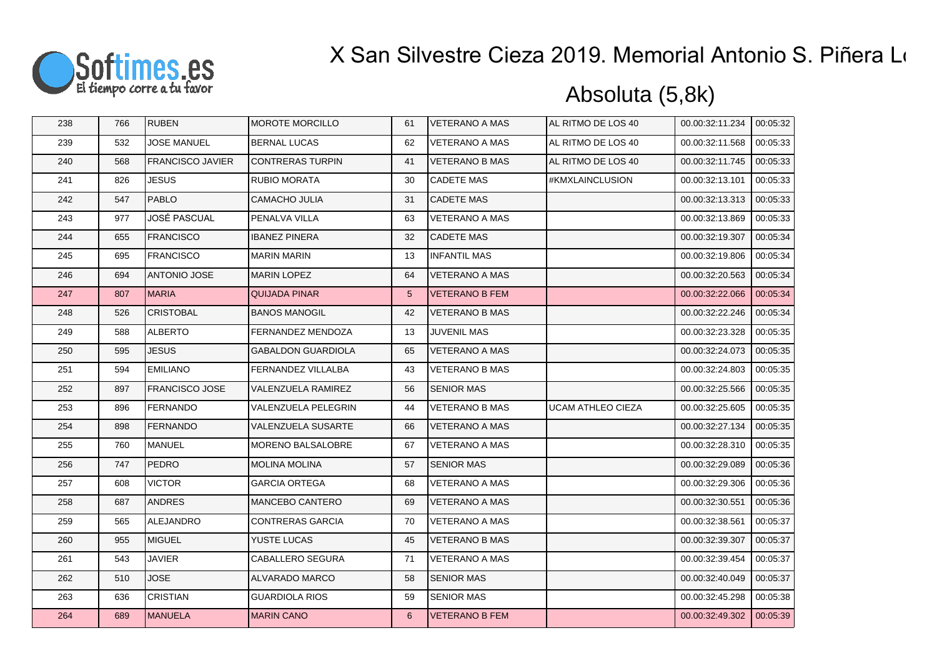

| 238 | 766 | RUBEN                   | <b>MOROTE MORCILLO</b>    | 61              | <b>VETERANO A MAS</b> | AL RITMO DE LOS 40       | 00.00:32:11.234 | 00:05:32 |
|-----|-----|-------------------------|---------------------------|-----------------|-----------------------|--------------------------|-----------------|----------|
| 239 | 532 | <b>JOSE MANUEL</b>      | BERNAL LUCAS              | 62              | <b>VETERANO A MAS</b> | AL RITMO DE LOS 40       | 00.00:32:11.568 | 00:05:33 |
| 240 | 568 | <b>FRANCISCO JAVIER</b> | <b>CONTRERAS TURPIN</b>   | 41              | <b>VETERANO B MAS</b> | AL RITMO DE LOS 40       | 00.00:32:11.745 | 00:05:33 |
| 241 | 826 | <b>JESUS</b>            | RUBIO MORATA              | 30              | <b>CADETE MAS</b>     | #KMXLAINCLUSION          | 00.00:32:13.101 | 00:05:33 |
| 242 | 547 | PABLO                   | CAMACHO JULIA             | 31              | <b>CADETE MAS</b>     |                          | 00.00:32:13.313 | 00:05:33 |
| 243 | 977 | JOSÉ PASCUAL            | PENALVA VILLA             | 63              | <b>VETERANO A MAS</b> |                          | 00.00:32:13.869 | 00:05:33 |
| 244 | 655 | <b>FRANCISCO</b>        | IBANEZ PINERA             | 32              | <b>CADETE MAS</b>     |                          | 00.00:32:19.307 | 00:05:34 |
| 245 | 695 | <b>FRANCISCO</b>        | <b>MARIN MARIN</b>        | 13              | <b>INFANTIL MAS</b>   |                          | 00.00:32:19.806 | 00:05:34 |
| 246 | 694 | ANTONIO JOSE            | <b>MARIN LOPEZ</b>        | 64              | <b>VETERANO A MAS</b> |                          | 00.00:32:20.563 | 00:05:34 |
| 247 | 807 | <b>MARIA</b>            | <b>QUIJADA PINAR</b>      | $5\overline{)}$ | <b>VETERANO B FEM</b> |                          | 00.00:32:22.066 | 00:05:34 |
| 248 | 526 | <b>CRISTOBAL</b>        | <b>BANOS MANOGIL</b>      | 42              | <b>VETERANO B MAS</b> |                          | 00.00:32:22.246 | 00:05:34 |
| 249 | 588 | <b>ALBERTO</b>          | FERNANDEZ MENDOZA         | 13              | <b>JUVENIL MAS</b>    |                          | 00.00:32:23.328 | 00:05:35 |
| 250 | 595 | <b>JESUS</b>            | <b>GABALDON GUARDIOLA</b> | 65              | <b>VETERANO A MAS</b> |                          | 00.00:32:24.073 | 00:05:35 |
| 251 | 594 | <b>EMILIANO</b>         | FERNANDEZ VILLALBA        | 43              | <b>VETERANO B MAS</b> |                          | 00.00:32:24.803 | 00:05:35 |
| 252 | 897 | <b>FRANCISCO JOSE</b>   | VALENZUELA RAMIREZ        | 56              | <b>SENIOR MAS</b>     |                          | 00.00:32:25.566 | 00:05:35 |
| 253 | 896 | <b>FERNANDO</b>         | VALENZUELA PELEGRIN       | 44              | <b>VETERANO B MAS</b> | <b>UCAM ATHLEO CIEZA</b> | 00.00:32:25.605 | 00:05:35 |
| 254 | 898 | <b>FERNANDO</b>         | VALENZUELA SUSARTE        | 66              | <b>VETERANO A MAS</b> |                          | 00.00:32:27.134 | 00:05:35 |
| 255 | 760 | MANUEL                  | MORENO BALSALOBRE         | 67              | <b>VETERANO A MAS</b> |                          | 00.00:32:28.310 | 00:05:35 |
| 256 | 747 | <b>PEDRO</b>            | <b>MOLINA MOLINA</b>      | 57              | <b>SENIOR MAS</b>     |                          | 00.00:32:29.089 | 00:05:36 |
| 257 | 608 | <b>VICTOR</b>           | <b>GARCIA ORTEGA</b>      | 68              | VETERANO A MAS        |                          | 00.00:32:29.306 | 00:05:36 |
| 258 | 687 | <b>ANDRES</b>           | MANCEBO CANTERO           | 69              | <b>VETERANO A MAS</b> |                          | 00.00:32:30.551 | 00:05:36 |
| 259 | 565 | ALEJANDRO               | <b>CONTRERAS GARCIA</b>   | 70              | <b>VETERANO A MAS</b> |                          | 00.00:32:38.561 | 00:05:37 |
| 260 | 955 | MIGUEL                  | YUSTE LUCAS               | 45              | <b>VETERANO B MAS</b> |                          | 00.00:32:39.307 | 00:05:37 |
| 261 | 543 | <b>JAVIER</b>           | CABALLERO SEGURA          | 71              | <b>VETERANO A MAS</b> |                          | 00.00:32:39.454 | 00:05:37 |
| 262 | 510 | <b>JOSE</b>             | ALVARADO MARCO            | 58              | <b>SENIOR MAS</b>     |                          | 00.00:32:40.049 | 00:05:37 |
| 263 | 636 | <b>CRISTIAN</b>         | <b>GUARDIOLA RIOS</b>     | 59              | <b>SENIOR MAS</b>     |                          | 00.00:32:45.298 | 00:05:38 |
| 264 | 689 | <b>MANUELA</b>          | <b>MARIN CANO</b>         | 6               | <b>VETERANO B FEM</b> |                          | 00.00:32:49.302 | 00:05:39 |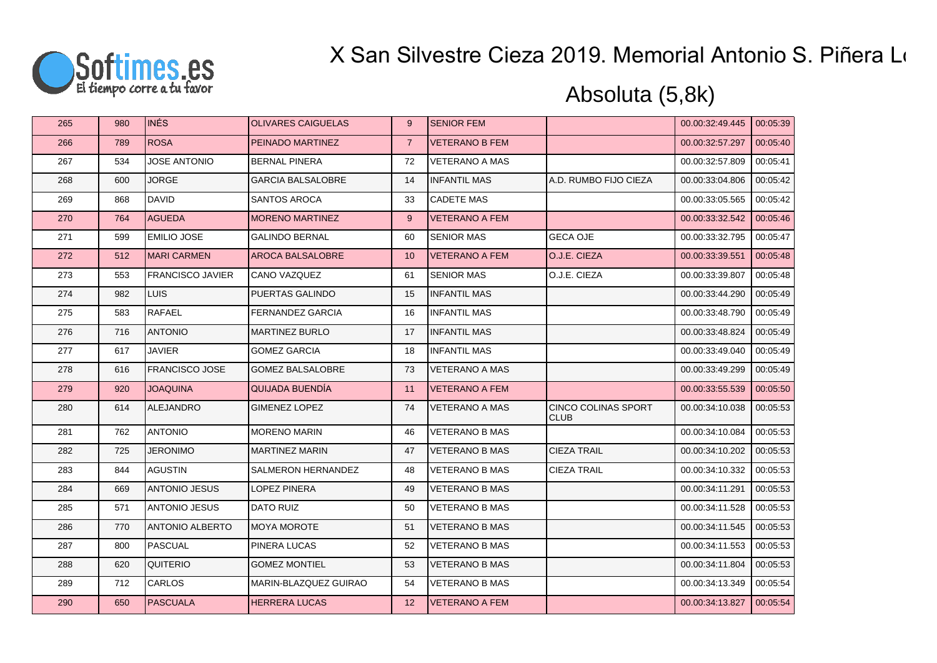

| 265 | 980 | <b>INÉS</b>             | <b>OLIVARES CAIGUELAS</b> | 9                 | <b>SENIOR FEM</b>     |                                           | 00.00:32:49.445 | 00:05:39 |
|-----|-----|-------------------------|---------------------------|-------------------|-----------------------|-------------------------------------------|-----------------|----------|
| 266 | 789 | <b>ROSA</b>             | PEINADO MARTINEZ          | $\overline{7}$    | <b>VETERANO B FEM</b> |                                           | 00.00:32:57.297 | 00:05:40 |
| 267 | 534 | <b>JOSE ANTONIO</b>     | <b>BERNAL PINERA</b>      | 72                | <b>VETERANO A MAS</b> |                                           | 00.00:32:57.809 | 00:05:41 |
| 268 | 600 | <b>JORGE</b>            | GARCIA BALSALOBRE         | 14                | <b>INFANTIL MAS</b>   | A.D. RUMBO FIJO CIEZA                     | 00.00:33:04.806 | 00:05:42 |
| 269 | 868 | <b>DAVID</b>            | SANTOS AROCA              | 33                | <b>CADETE MAS</b>     |                                           | 00.00:33:05.565 | 00:05:42 |
| 270 | 764 | <b>AGUEDA</b>           | <b>MORENO MARTINEZ</b>    | 9                 | <b>VETERANO A FEM</b> |                                           | 00.00:33:32.542 | 00:05:46 |
| 271 | 599 | <b>EMILIO JOSE</b>      | <b>GALINDO BERNAL</b>     | 60                | <b>SENIOR MAS</b>     | <b>GECA OJE</b>                           | 00.00:33:32.795 | 00:05:47 |
| 272 | 512 | <b>MARI CARMEN</b>      | <b>AROCA BALSALOBRE</b>   | 10                | <b>VETERANO A FEM</b> | O.J.E. CIEZA                              | 00.00:33:39.551 | 00:05:48 |
| 273 | 553 | <b>FRANCISCO JAVIER</b> | CANO VAZQUEZ              | 61                | <b>SENIOR MAS</b>     | O.J.E. CIEZA                              | 00.00:33:39.807 | 00:05:48 |
| 274 | 982 | <b>LUIS</b>             | PUERTAS GALINDO           | 15                | <b>INFANTIL MAS</b>   |                                           | 00.00:33:44.290 | 00:05:49 |
| 275 | 583 | <b>RAFAEL</b>           | FERNANDEZ GARCIA          | 16                | <b>INFANTIL MAS</b>   |                                           | 00.00:33:48.790 | 00:05:49 |
| 276 | 716 | <b>ANTONIO</b>          | <b>MARTINEZ BURLO</b>     | 17                | <b>INFANTIL MAS</b>   |                                           | 00.00:33:48.824 | 00:05:49 |
| 277 | 617 | <b>JAVIER</b>           | <b>GOMEZ GARCIA</b>       | 18                | <b>INFANTIL MAS</b>   |                                           | 00.00:33:49.040 | 00:05:49 |
| 278 | 616 | <b>FRANCISCO JOSE</b>   | <b>GOMEZ BALSALOBRE</b>   | 73                | <b>VETERANO A MAS</b> |                                           | 00.00:33:49.299 | 00:05:49 |
| 279 | 920 | <b>JOAQUINA</b>         | QUIJADA BUENDÍA           | 11                | <b>VETERANO A FEM</b> |                                           | 00.00:33:55.539 | 00:05:50 |
| 280 | 614 | ALEJANDRO               | <b>GIMENEZ LOPEZ</b>      | 74                | <b>VETERANO A MAS</b> | <b>CINCO COLINAS SPORT</b><br><b>CLUB</b> | 00.00:34:10.038 | 00:05:53 |
| 281 | 762 | <b>ANTONIO</b>          | <b>MORENO MARIN</b>       | 46                | <b>VETERANO B MAS</b> |                                           | 00.00:34:10.084 | 00:05:53 |
| 282 | 725 | <b>JERONIMO</b>         | <b>MARTINEZ MARIN</b>     | 47                | <b>VETERANO B MAS</b> | <b>CIEZA TRAIL</b>                        | 00.00:34:10.202 | 00:05:53 |
| 283 | 844 | <b>AGUSTIN</b>          | SALMERON HERNANDEZ        | 48                | <b>VETERANO B MAS</b> | <b>CIEZA TRAIL</b>                        | 00.00:34:10.332 | 00:05:53 |
| 284 | 669 | <b>ANTONIO JESUS</b>    | LOPEZ PINERA              | 49                | <b>VETERANO B MAS</b> |                                           | 00.00:34:11.291 | 00:05:53 |
| 285 | 571 | <b>ANTONIO JESUS</b>    | <b>DATO RUIZ</b>          | 50                | <b>VETERANO B MAS</b> |                                           | 00.00:34:11.528 | 00:05:53 |
| 286 | 770 | <b>ANTONIO ALBERTO</b>  | <b>MOYA MOROTE</b>        | 51                | <b>VETERANO B MAS</b> |                                           | 00.00:34:11.545 | 00:05:53 |
| 287 | 800 | <b>PASCUAL</b>          | PINERA LUCAS              | 52                | <b>VETERANO B MAS</b> |                                           | 00.00:34:11.553 | 00:05:53 |
| 288 | 620 | <b>QUITERIO</b>         | <b>GOMEZ MONTIEL</b>      | 53                | <b>VETERANO B MAS</b> |                                           | 00.00:34:11.804 | 00:05:53 |
| 289 | 712 | <b>CARLOS</b>           | MARIN-BLAZQUEZ GUIRAO     | 54                | <b>VETERANO B MAS</b> |                                           | 00.00:34:13.349 | 00:05:54 |
| 290 | 650 | PASCUALA                | <b>HERRERA LUCAS</b>      | $12 \overline{ }$ | <b>VETERANO A FEM</b> |                                           | 00.00:34:13.827 | 00:05:54 |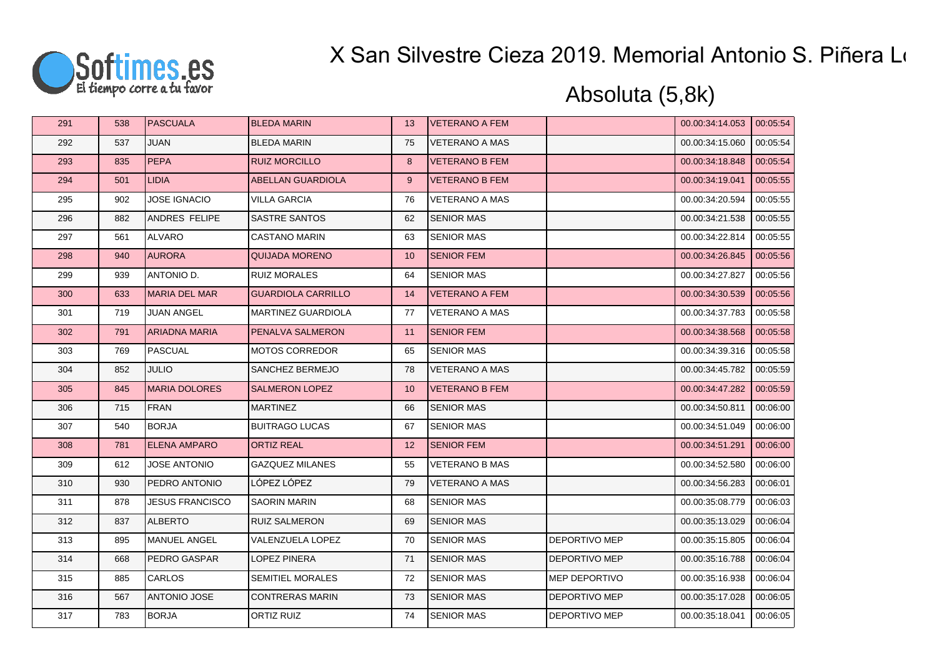

| 291 | 538 | PASCUALA               | <b>BLEDA MARIN</b>        | 13 | <b>VETERANO A FEM</b> |                      | 00.00:34:14.053 | 00:05:54 |
|-----|-----|------------------------|---------------------------|----|-----------------------|----------------------|-----------------|----------|
| 292 | 537 | <b>JUAN</b>            | <b>BLEDA MARIN</b>        | 75 | <b>VETERANO A MAS</b> |                      | 00.00:34:15.060 | 00:05:54 |
| 293 | 835 | <b>PEPA</b>            | <b>RUIZ MORCILLO</b>      | 8  | <b>VETERANO B FEM</b> |                      | 00.00:34:18.848 | 00:05:54 |
| 294 | 501 | <b>LIDIA</b>           | ABELLAN GUARDIOLA         | 9  | <b>VETERANO B FEM</b> |                      | 00.00.34:19.041 | 00:05:55 |
| 295 | 902 | <b>JOSE IGNACIO</b>    | <b>VILLA GARCIA</b>       | 76 | <b>VETERANO A MAS</b> |                      | 00.00:34:20.594 | 00:05:55 |
| 296 | 882 | ANDRES FELIPE          | SASTRE SANTOS             | 62 | <b>SENIOR MAS</b>     |                      | 00.00:34:21.538 | 00:05:55 |
| 297 | 561 | <b>ALVARO</b>          | <b>CASTANO MARIN</b>      | 63 | <b>SENIOR MAS</b>     |                      | 00.00:34:22.814 | 00:05:55 |
| 298 | 940 | <b>AURORA</b>          | <b>QUIJADA MORENO</b>     | 10 | <b>SENIOR FEM</b>     |                      | 00.00:34:26.845 | 00:05:56 |
| 299 | 939 | ANTONIO D.             | <b>RUIZ MORALES</b>       | 64 | <b>SENIOR MAS</b>     |                      | 00.00:34:27.827 | 00:05:56 |
| 300 | 633 | <b>MARIA DEL MAR</b>   | <b>GUARDIOLA CARRILLO</b> | 14 | <b>VETERANO A FEM</b> |                      | 00.00:34:30.539 | 00:05:56 |
| 301 | 719 | <b>JUAN ANGEL</b>      | MARTINEZ GUARDIOLA        | 77 | <b>VETERANO A MAS</b> |                      | 00.00:34:37.783 | 00:05:58 |
| 302 | 791 | <b>ARIADNA MARIA</b>   | PENALVA SALMERON          | 11 | <b>SENIOR FEM</b>     |                      | 00.00:34:38.568 | 00:05:58 |
| 303 | 769 | <b>PASCUAL</b>         | <b>MOTOS CORREDOR</b>     | 65 | <b>SENIOR MAS</b>     |                      | 00.00:34:39.316 | 00:05:58 |
| 304 | 852 | <b>JULIO</b>           | SANCHEZ BERMEJO           | 78 | <b>VETERANO A MAS</b> |                      | 00.00:34:45.782 | 00:05:59 |
| 305 | 845 | <b>MARIA DOLORES</b>   | <b>SALMERON LOPEZ</b>     | 10 | <b>VETERANO B FEM</b> |                      | 00.00:34:47.282 | 00:05:59 |
| 306 | 715 | <b>FRAN</b>            | <b>MARTINEZ</b>           | 66 | <b>SENIOR MAS</b>     |                      | 00.00:34:50.811 | 00:06:00 |
| 307 | 540 | <b>BORJA</b>           | <b>BUITRAGO LUCAS</b>     | 67 | <b>SENIOR MAS</b>     |                      | 00.00:34:51.049 | 00:06:00 |
| 308 | 781 | <b>ELENA AMPARO</b>    | <b>ORTIZ REAL</b>         | 12 | <b>SENIOR FEM</b>     |                      | 00.00:34:51.291 | 00:06:00 |
| 309 | 612 | <b>JOSE ANTONIO</b>    | <b>GAZQUEZ MILANES</b>    | 55 | <b>VETERANO B MAS</b> |                      | 00.00:34:52.580 | 00:06:00 |
| 310 | 930 | PEDRO ANTONIO          | LÓPEZ LÓPEZ               | 79 | <b>VETERANO A MAS</b> |                      | 00.00:34:56.283 | 00:06:01 |
| 311 | 878 | <b>JESUS FRANCISCO</b> | <b>SAORIN MARIN</b>       | 68 | <b>SENIOR MAS</b>     |                      | 00.00:35:08.779 | 00:06:03 |
| 312 | 837 | <b>ALBERTO</b>         | <b>RUIZ SALMERON</b>      | 69 | <b>SENIOR MAS</b>     |                      | 00.00:35:13.029 | 00:06:04 |
| 313 | 895 | <b>MANUEL ANGEL</b>    | VALENZUELA LOPEZ          | 70 | <b>SENIOR MAS</b>     | <b>DEPORTIVO MEP</b> | 00.00:35:15.805 | 00:06:04 |
| 314 | 668 | PEDRO GASPAR           | <b>LOPEZ PINERA</b>       | 71 | <b>SENIOR MAS</b>     | <b>DEPORTIVO MEP</b> | 00.00:35:16.788 | 00:06:04 |
| 315 | 885 | <b>CARLOS</b>          | SEMITIEL MORALES          | 72 | <b>SENIOR MAS</b>     | MEP DEPORTIVO        | 00.00:35:16.938 | 00:06:04 |
| 316 | 567 | <b>ANTONIO JOSE</b>    | <b>CONTRERAS MARIN</b>    | 73 | <b>SENIOR MAS</b>     | DEPORTIVO MEP        | 00.00:35:17.028 | 00:06:05 |
| 317 | 783 | <b>BORJA</b>           | <b>ORTIZ RUIZ</b>         | 74 | <b>SENIOR MAS</b>     | DEPORTIVO MEP        | 00.00:35:18.041 | 00:06:05 |
|     |     |                        |                           |    |                       |                      |                 |          |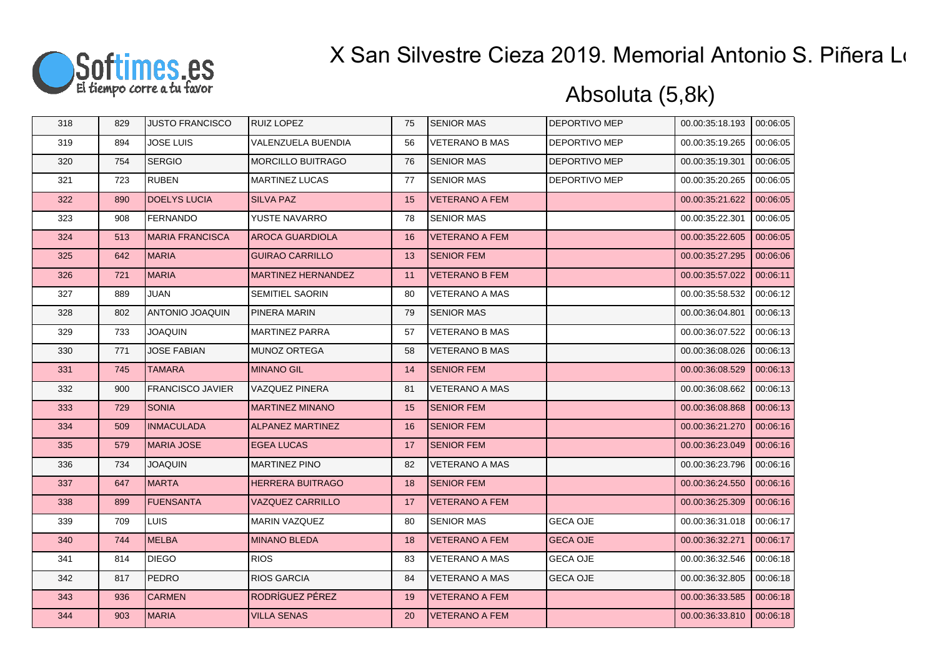

| 318 | 829 | <b>JUSTO FRANCISCO</b>  | <b>RUIZ LOPEZ</b>         | 75 | <b>SENIOR MAS</b>     | <b>DEPORTIVO MEP</b> | 00.00:35:18.193 | 00:06:05 |
|-----|-----|-------------------------|---------------------------|----|-----------------------|----------------------|-----------------|----------|
| 319 | 894 | <b>JOSE LUIS</b>        | VALENZUELA BUENDIA        | 56 | <b>VETERANO B MAS</b> | <b>DEPORTIVO MEP</b> | 00.00:35:19.265 | 00:06:05 |
| 320 | 754 | <b>SERGIO</b>           | <b>MORCILLO BUITRAGO</b>  | 76 | <b>SENIOR MAS</b>     | <b>DEPORTIVO MEP</b> | 00.00:35:19.301 | 00:06:05 |
| 321 | 723 | <b>RUBEN</b>            | <b>MARTINEZ LUCAS</b>     | 77 | <b>SENIOR MAS</b>     | DEPORTIVO MEP        | 00.00:35:20.265 | 00:06:05 |
| 322 | 890 | <b>DOELYS LUCIA</b>     | <b>SILVA PAZ</b>          | 15 | <b>VETERANO A FEM</b> |                      | 00.00:35:21.622 | 00:06:05 |
| 323 | 908 | <b>FERNANDO</b>         | YUSTE NAVARRO             | 78 | <b>SENIOR MAS</b>     |                      | 00.00:35:22.301 | 00:06:05 |
| 324 | 513 | <b>MARIA FRANCISCA</b>  | <b>AROCA GUARDIOLA</b>    | 16 | <b>VETERANO A FEM</b> |                      | 00.00:35:22.605 | 00:06:05 |
| 325 | 642 | <b>MARIA</b>            | <b>GUIRAO CARRILLO</b>    | 13 | <b>SENIOR FEM</b>     |                      | 00.00:35:27.295 | 00:06:06 |
| 326 | 721 | <b>MARIA</b>            | <b>MARTINEZ HERNANDEZ</b> | 11 | <b>VETERANO B FEM</b> |                      | 00.00:35:57.022 | 00:06:11 |
| 327 | 889 | <b>JUAN</b>             | <b>SEMITIEL SAORIN</b>    | 80 | <b>VETERANO A MAS</b> |                      | 00.00:35:58.532 | 00:06:12 |
| 328 | 802 | ANTONIO JOAQUIN         | <b>PINERA MARIN</b>       | 79 | <b>SENIOR MAS</b>     |                      | 00.00.36.04.801 | 00:06:13 |
| 329 | 733 | <b>JOAQUIN</b>          | <b>MARTINEZ PARRA</b>     | 57 | <b>VETERANO B MAS</b> |                      | 00.00:36:07.522 | 00:06:13 |
| 330 | 771 | <b>JOSE FABIAN</b>      | <b>MUNOZ ORTEGA</b>       | 58 | <b>VETERANO B MAS</b> |                      | 00.00:36:08.026 | 00:06:13 |
| 331 | 745 | <b>TAMARA</b>           | <b>MINANO GIL</b>         | 14 | <b>SENIOR FEM</b>     |                      | 00.00:36:08.529 | 00:06:13 |
| 332 | 900 | <b>FRANCISCO JAVIER</b> | VAZQUEZ PINERA            | 81 | <b>VETERANO A MAS</b> |                      | 00.00:36:08.662 | 00:06:13 |
| 333 | 729 | <b>SONIA</b>            | <b>MARTINEZ MINANO</b>    | 15 | <b>SENIOR FEM</b>     |                      | 00.00:36:08.868 | 00:06:13 |
| 334 | 509 | <b>INMACULADA</b>       | <b>ALPANEZ MARTINEZ</b>   | 16 | <b>SENIOR FEM</b>     |                      | 00.00:36:21.270 | 00:06:16 |
| 335 | 579 | MARIA JOSE              | <b>EGEA LUCAS</b>         | 17 | <b>SENIOR FEM</b>     |                      | 00.00:36:23.049 | 00:06:16 |
| 336 | 734 | <b>JOAQUIN</b>          | <b>MARTINEZ PINO</b>      | 82 | <b>VETERANO A MAS</b> |                      | 00.00:36:23.796 | 00:06:16 |
| 337 | 647 | <b>MARTA</b>            | <b>HERRERA BUITRAGO</b>   | 18 | <b>SENIOR FEM</b>     |                      | 00.00:36:24.550 | 00:06:16 |
| 338 | 899 | <b>FUENSANTA</b>        | <b>VAZQUEZ CARRILLO</b>   | 17 | <b>VETERANO A FEM</b> |                      | 00.00:36:25.309 | 00:06:16 |
| 339 | 709 | <b>LUIS</b>             | <b>MARIN VAZQUEZ</b>      | 80 | <b>SENIOR MAS</b>     | <b>GECA OJE</b>      | 00.00:36:31.018 | 00:06:17 |
| 340 | 744 | MELBA                   | <b>MINANO BLEDA</b>       | 18 | <b>VETERANO A FEM</b> | <b>GECA OJE</b>      | 00.00:36:32.271 | 00:06:17 |
| 341 | 814 | <b>DIEGO</b>            | <b>RIOS</b>               | 83 | <b>VETERANO A MAS</b> | <b>GECA OJE</b>      | 00.00:36:32.546 | 00:06:18 |
| 342 | 817 | PEDRO                   | <b>RIOS GARCIA</b>        | 84 | <b>VETERANO A MAS</b> | <b>GECA OJE</b>      | 00.00:36:32.805 | 00:06:18 |
| 343 | 936 | <b>CARMEN</b>           | RODRÍGUEZ PÉREZ           | 19 | <b>VETERANO A FEM</b> |                      | 00.00:36:33.585 | 00:06:18 |
| 344 | 903 | MARIA                   | <b>VILLA SENAS</b>        | 20 | <b>VETERANO A FEM</b> |                      | 00.00:36:33.810 | 00:06:18 |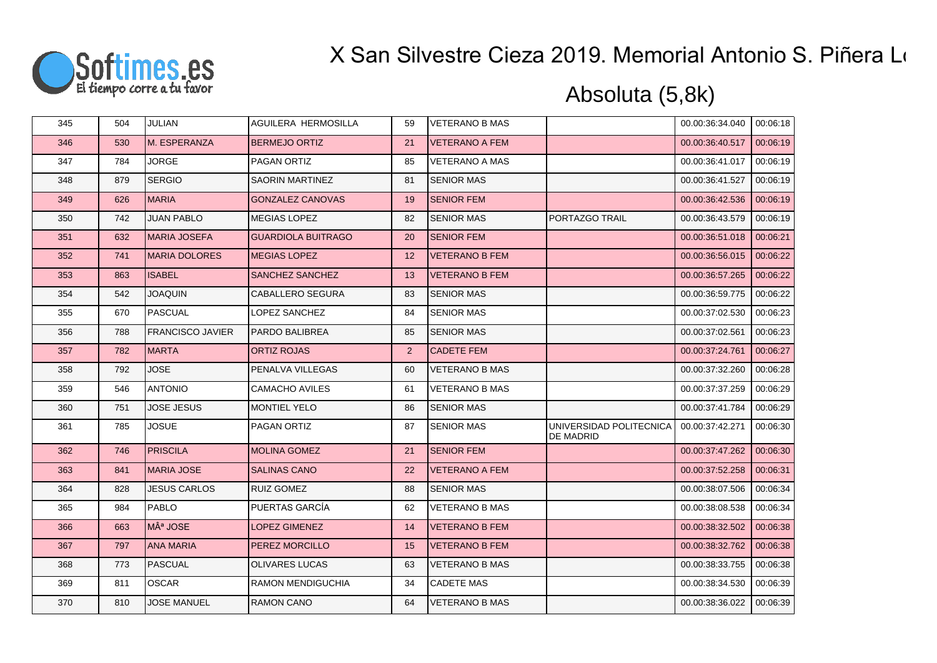

| 345 | 504 | JULIAN                  | AGUILERA HERMOSILLA       | 59             | <b>VETERANO B MAS</b> |                                      | 00.00:36:34.040 | 00:06:18 |
|-----|-----|-------------------------|---------------------------|----------------|-----------------------|--------------------------------------|-----------------|----------|
| 346 | 530 | M. ESPERANZA            | <b>BERMEJO ORTIZ</b>      | 21             | <b>VETERANO A FEM</b> |                                      | 00.00:36:40.517 | 00:06:19 |
| 347 | 784 | <b>JORGE</b>            | PAGAN ORTIZ               | 85             | <b>VETERANO A MAS</b> |                                      | 00.00:36:41.017 | 00:06:19 |
| 348 | 879 | <b>SERGIO</b>           | <b>SAORIN MARTINEZ</b>    | 81             | <b>SENIOR MAS</b>     |                                      | 00.00:36:41.527 | 00:06:19 |
| 349 | 626 | <b>MARIA</b>            | <b>GONZALEZ CANOVAS</b>   | 19             | <b>SENIOR FEM</b>     |                                      | 00.00:36:42.536 | 00:06:19 |
| 350 | 742 | <b>JUAN PABLO</b>       | <b>MEGIAS LOPEZ</b>       | 82             | <b>SENIOR MAS</b>     | PORTAZGO TRAIL                       | 00.00:36:43.579 | 00:06:19 |
| 351 | 632 | <b>MARIA JOSEFA</b>     | <b>GUARDIOLA BUITRAGO</b> | 20             | <b>SENIOR FEM</b>     |                                      | 00.00:36:51.018 | 00:06:21 |
| 352 | 741 | <b>MARIA DOLORES</b>    | <b>MEGIAS LOPEZ</b>       | 12             | <b>VETERANO B FEM</b> |                                      | 00.00:36:56.015 | 00:06:22 |
| 353 | 863 | <b>ISABEL</b>           | SANCHEZ SANCHEZ           | 13             | <b>VETERANO B FEM</b> |                                      | 00.00:36:57.265 | 00:06:22 |
| 354 | 542 | <b>JOAQUIN</b>          | CABALLERO SEGURA          | 83             | <b>SENIOR MAS</b>     |                                      | 00.00:36:59.775 | 00:06:22 |
| 355 | 670 | PASCUAL                 | LOPEZ SANCHEZ             | 84             | <b>SENIOR MAS</b>     |                                      | 00.00:37:02.530 | 00:06:23 |
| 356 | 788 | <b>FRANCISCO JAVIER</b> | PARDO BALIBREA            | 85             | <b>SENIOR MAS</b>     |                                      | 00.00:37:02.561 | 00:06:23 |
| 357 | 782 | <b>MARTA</b>            | <b>ORTIZ ROJAS</b>        | $\overline{2}$ | <b>CADETE FEM</b>     |                                      | 00.00:37:24.761 | 00:06:27 |
| 358 | 792 | <b>JOSE</b>             | PENALVA VILLEGAS          | 60             | <b>VETERANO B MAS</b> |                                      | 00.00:37:32.260 | 00:06:28 |
| 359 | 546 | <b>ANTONIO</b>          | <b>CAMACHO AVILES</b>     | 61             | <b>VETERANO B MAS</b> |                                      | 00.00:37:37.259 | 00:06:29 |
| 360 | 751 | <b>JOSE JESUS</b>       | <b>MONTIEL YELO</b>       | 86             | <b>SENIOR MAS</b>     |                                      | 00.00:37:41.784 | 00:06:29 |
| 361 | 785 | <b>JOSUE</b>            | PAGAN ORTIZ               | 87             | <b>SENIOR MAS</b>     | UNIVERSIDAD POLITECNICA<br>DE MADRID | 00.00:37:42.271 | 00:06:30 |
| 362 | 746 | <b>PRISCILA</b>         | <b>MOLINA GOMEZ</b>       | 21             | <b>SENIOR FEM</b>     |                                      | 00.00:37:47.262 | 00:06:30 |
| 363 | 841 | <b>MARIA JOSE</b>       | <b>SALINAS CANO</b>       | 22             | <b>VETERANO A FEM</b> |                                      | 00.00:37:52.258 | 00:06:31 |
| 364 | 828 | <b>JESUS CARLOS</b>     | <b>RUIZ GOMEZ</b>         | 88             | <b>SENIOR MAS</b>     |                                      | 00.00:38:07.506 | 00:06:34 |
| 365 | 984 | <b>PABLO</b>            | PUERTAS GARCÍA            | 62             | <b>VETERANO B MAS</b> |                                      | 00.00:38:08.538 | 00:06:34 |
| 366 | 663 | Mª JOSE                 | LOPEZ GIMENEZ             | 14             | <b>VETERANO B FEM</b> |                                      | 00.00:38:32.502 | 00:06:38 |
| 367 | 797 | <b>ANA MARIA</b>        | PEREZ MORCILLO            | 15             | <b>VETERANO B FEM</b> |                                      | 00.00:38:32.762 | 00:06:38 |
| 368 | 773 | <b>PASCUAL</b>          | <b>OLIVARES LUCAS</b>     | 63             | <b>VETERANO B MAS</b> |                                      | 00.00:38:33.755 | 00:06:38 |
| 369 | 811 | <b>OSCAR</b>            | <b>RAMON MENDIGUCHIA</b>  | 34             | <b>CADETE MAS</b>     |                                      | 00.00:38:34.530 | 00:06:39 |
| 370 | 810 | <b>JOSE MANUEL</b>      | <b>RAMON CANO</b>         | 64             | <b>VETERANO B MAS</b> |                                      | 00.00:38:36.022 | 00:06:39 |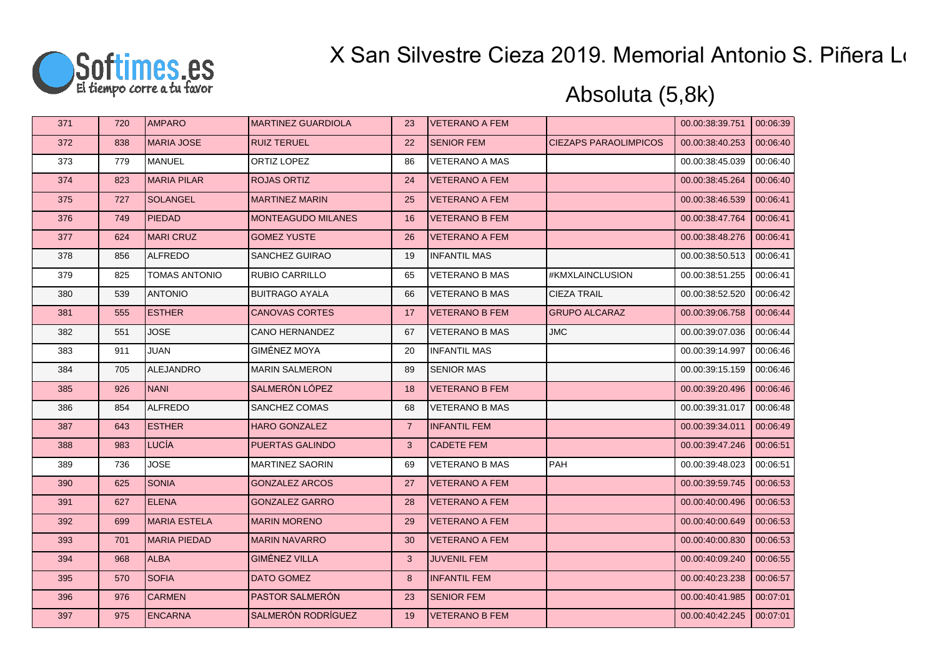

| 371 | 720 | <b>AMPARO</b>        | <b>MARTINEZ GUARDIOLA</b> | 23             | <b>VETERANO A FEM</b> |                              | 00.00:38:39.751 | 00:06:39 |
|-----|-----|----------------------|---------------------------|----------------|-----------------------|------------------------------|-----------------|----------|
| 372 | 838 | <b>IMARIA JOSE</b>   | <b>RUIZ TERUEL</b>        | 22             | <b>SENIOR FEM</b>     | <b>CIEZAPS PARAOLIMPICOS</b> | 00.00:38:40.253 | 00:06:40 |
| 373 | 779 | <b>MANUEL</b>        | ORTIZ LOPEZ               | 86             | <b>VETERANO A MAS</b> |                              | 00.00:38:45.039 | 00:06:40 |
| 374 | 823 | <b>MARIA PILAR</b>   | <b>ROJAS ORTIZ</b>        | 24             | <b>VETERANO A FEM</b> |                              | 00.00:38:45.264 | 00:06:40 |
| 375 | 727 | <b>SOLANGEL</b>      | <b>MARTINEZ MARIN</b>     | 25             | <b>VETERANO A FEM</b> |                              | 00.00:38:46.539 | 00:06:41 |
| 376 | 749 | <b>PIEDAD</b>        | <b>MONTEAGUDO MILANES</b> | 16             | <b>VETERANO B FEM</b> |                              | 00.00:38:47.764 | 00:06:41 |
| 377 | 624 | MARI CRUZ            | <b>GOMEZ YUSTE</b>        | 26             | <b>VETERANO A FEM</b> |                              | 00.00:38:48.276 | 00:06:41 |
| 378 | 856 | <b>ALFREDO</b>       | SANCHEZ GUIRAO            | 19             | <b>INFANTIL MAS</b>   |                              | 00.00:38:50.513 | 00:06:41 |
| 379 | 825 | <b>TOMAS ANTONIO</b> | RUBIO CARRILLO            | 65             | VETERANO B MAS        | #KMXLAINCLUSION              | 00.00:38:51.255 | 00:06:41 |
| 380 | 539 | <b>ANTONIO</b>       | <b>BUITRAGO AYALA</b>     | 66             | <b>VETERANO B MAS</b> | <b>CIEZA TRAIL</b>           | 00.00:38:52.520 | 00:06:42 |
| 381 | 555 | <b>ESTHER</b>        | <b>CANOVAS CORTES</b>     | 17             | <b>VETERANO B FEM</b> | <b>GRUPO ALCARAZ</b>         | 00.00:39:06.758 | 00:06:44 |
| 382 | 551 | <b>JOSE</b>          | <b>CANO HERNANDEZ</b>     | 67             | <b>VETERANO B MAS</b> | <b>JMC</b>                   | 00.00:39:07.036 | 00:06:44 |
| 383 | 911 | <b>JUAN</b>          | GIMÉNEZ MOYA              | 20             | <b>INFANTIL MAS</b>   |                              | 00.00:39:14.997 | 00:06:46 |
| 384 | 705 | ALEJANDRO            | <b>MARIN SALMERON</b>     | 89             | <b>SENIOR MAS</b>     |                              | 00.00:39:15.159 | 00:06:46 |
| 385 | 926 | <b>NANI</b>          | SALMERÓN LÓPEZ            | 18             | <b>VETERANO B FEM</b> |                              | 00.00:39:20.496 | 00:06:46 |
| 386 | 854 | <b>ALFREDO</b>       | SANCHEZ COMAS             | 68             | <b>VETERANO B MAS</b> |                              | 00.00:39:31.017 | 00:06:48 |
| 387 | 643 | <b>ESTHER</b>        | <b>HARO GONZALEZ</b>      | $\overline{7}$ | <b>INFANTIL FEM</b>   |                              | 00.00:39:34.011 | 00:06:49 |
| 388 | 983 | LUCÍA                | PUERTAS GALINDO           | 3              | <b>CADETE FEM</b>     |                              | 00.00:39:47.246 | 00:06:51 |
| 389 | 736 | <b>JOSE</b>          | <b>MARTINEZ SAORIN</b>    | 69             | <b>VETERANO B MAS</b> | <b>PAH</b>                   | 00.00:39:48.023 | 00:06:51 |
| 390 | 625 | <b>SONIA</b>         | <b>GONZALEZ ARCOS</b>     | 27             | <b>VETERANO A FEM</b> |                              | 00.00:39:59.745 | 00:06:53 |
| 391 | 627 | <b>ELENA</b>         | <b>GONZALEZ GARRO</b>     | 28             | <b>VETERANO A FEM</b> |                              | 00.00:40:00.496 | 00:06:53 |
| 392 | 699 | <b>MARIA ESTELA</b>  | <b>MARIN MORENO</b>       | 29             | <b>VETERANO A FEM</b> |                              | 00.00:40:00.649 | 00:06:53 |
| 393 | 701 | <b>MARIA PIEDAD</b>  | <b>MARIN NAVARRO</b>      | 30             | <b>VETERANO A FEM</b> |                              | 00.00:40:00.830 | 00:06:53 |
| 394 | 968 | <b>ALBA</b>          | <b>GIMÉNEZ VILLA</b>      | $\mathbf{3}$   | <b>JUVENIL FEM</b>    |                              | 00.00:40:09.240 | 00:06:55 |
| 395 | 570 | <b>SOFIA</b>         | DATO GOMEZ                | 8              | <b>INFANTIL FEM</b>   |                              | 00.00:40:23.238 | 00:06:57 |
| 396 | 976 | <b>CARMEN</b>        | PASTOR SALMERÓN           | 23             | <b>SENIOR FEM</b>     |                              | 00.00:40:41.985 | 00:07:01 |
| 397 | 975 | <b>ENCARNA</b>       | SALMERÓN RODRÍGUEZ        | 19             | <b>VETERANO B FEM</b> |                              | 00.00:40:42.245 | 00:07:01 |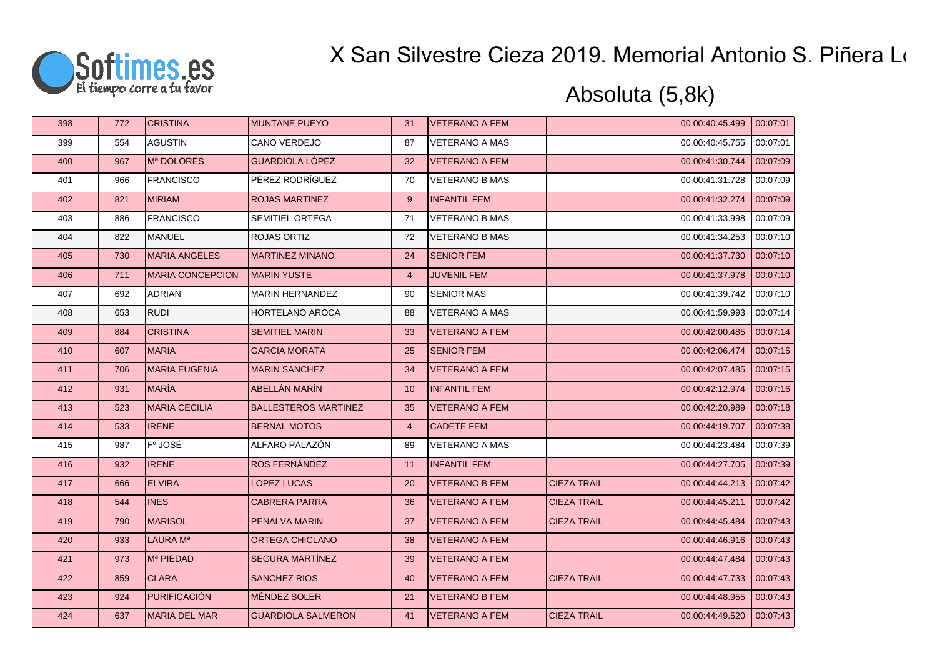

| 398 | 772 | <b>CRISTINA</b>         | <b>MUNTANE PUEYO</b>        | 31             | <b>VETERANO A FEM</b> |                    | 00.00:40:45.499 | 00:07:01 |
|-----|-----|-------------------------|-----------------------------|----------------|-----------------------|--------------------|-----------------|----------|
| 399 | 554 | <b>AGUSTIN</b>          | <b>CANO VERDEJO</b>         | 87             | <b>VETERANO A MAS</b> |                    | 00.00:40:45.755 | 00:07:01 |
| 400 | 967 | Mª DOLORES              | <b>GUARDIOLA LÓPEZ</b>      | 32             | <b>VETERANO A FEM</b> |                    | 00.00:41:30.744 | 00:07:09 |
| 401 | 966 | <b>FRANCISCO</b>        | PÉREZ RODRÍGUEZ             | 70             | <b>VETERANO B MAS</b> |                    | 00.00:41:31.728 | 00:07:09 |
| 402 | 821 | <b>MIRIAM</b>           | <b>ROJAS MARTINEZ</b>       | 9              | <b>INFANTIL FEM</b>   |                    | 00.00:41:32.274 | 00:07:09 |
| 403 | 886 | <b>FRANCISCO</b>        | SEMITIEL ORTEGA             | 71             | <b>VETERANO B MAS</b> |                    | 00.00:41:33.998 | 00:07:09 |
| 404 | 822 | <b>MANUEL</b>           | ROJAS ORTIZ                 | 72             | <b>VETERANO B MAS</b> |                    | 00.00:41:34.253 | 00:07:10 |
| 405 | 730 | <b>MARIA ANGELES</b>    | <b>MARTINEZ MINANO</b>      | 24             | <b>SENIOR FEM</b>     |                    | 00.00:41:37.730 | 00:07:10 |
| 406 | 711 | <b>MARIA CONCEPCION</b> | <b>MARIN YUSTE</b>          | $\overline{4}$ | <b>JUVENIL FEM</b>    |                    | 00.00:41:37.978 | 00:07:10 |
| 407 | 692 | <b>ADRIAN</b>           | <b>MARIN HERNANDEZ</b>      | 90             | <b>SENIOR MAS</b>     |                    | 00.00:41:39.742 | 00:07:10 |
| 408 | 653 | <b>RUDI</b>             | HORTELANO AROCA             | 88             | <b>VETERANO A MAS</b> |                    | 00.00:41:59.993 | 00:07:14 |
| 409 | 884 | <b>CRISTINA</b>         | <b>SEMITIEL MARIN</b>       | 33             | <b>VETERANO A FEM</b> |                    | 00.00:42:00.485 | 00:07:14 |
| 410 | 607 | <b>MARIA</b>            | <b>GARCIA MORATA</b>        | 25             | <b>SENIOR FEM</b>     |                    | 00.00:42:06.474 | 00:07:15 |
| 411 | 706 | IMARIA EUGENIA          | <b>MARIN SANCHEZ</b>        | 34             | <b>VETERANO A FEM</b> |                    | 00.00:42:07.485 | 00:07:15 |
| 412 | 931 | <b>MARÍA</b>            | ABELLÁN MARÍN               | 10             | <b>INFANTIL FEM</b>   |                    | 00.00:42:12.974 | 00:07:16 |
| 413 | 523 | <b>MARIA CECILIA</b>    | <b>BALLESTEROS MARTINEZ</b> | 35             | <b>VETERANO A FEM</b> |                    | 00.00:42:20.989 | 00:07:18 |
| 414 | 533 | <b>IRENE</b>            | <b>BERNAL MOTOS</b>         | $\overline{4}$ | <b>CADETE FEM</b>     |                    | 00.00:44:19.707 | 00:07:38 |
| 415 | 987 | F° JOSÉ                 | ALFARO PALAZÓN              | 89             | <b>VETERANO A MAS</b> |                    | 00.00:44:23.484 | 00:07:39 |
| 416 | 932 | <b>IRENE</b>            | <b>ROS FERNÁNDEZ</b>        | 11             | <b>INFANTIL FEM</b>   |                    | 00.00:44:27.705 | 00:07:39 |
| 417 | 666 | <b>ELVIRA</b>           | LOPEZ LUCAS                 | 20             | <b>VETERANO B FEM</b> | <b>CIEZA TRAIL</b> | 00.00:44:44.213 | 00:07:42 |
| 418 | 544 | <b>INES</b>             | <b>CABRERA PARRA</b>        | 36             | <b>VETERANO A FEM</b> | <b>CIEZA TRAIL</b> | 00.00:44:45.211 | 00:07:42 |
| 419 | 790 | <b>MARISOL</b>          | PENALVA MARIN               | 37             | <b>VETERANO A FEM</b> | <b>CIEZA TRAIL</b> | 00.00:44:45.484 | 00:07:43 |
| 420 | 933 | LAURA M <sup>a</sup>    | ORTEGA CHICLANO             | 38             | <b>VETERANO A FEM</b> |                    | 00.00:44:46.916 | 00:07:43 |
| 421 | 973 | M <sup>a</sup> PIEDAD   | SEGURA MARTÍNEZ             | 39             | <b>VETERANO A FEM</b> |                    | 00.00:44:47.484 | 00:07:43 |
| 422 | 859 | <b>CLARA</b>            | <b>SANCHEZ RIOS</b>         | 40             | <b>VETERANO A FEM</b> | <b>CIEZA TRAIL</b> | 00.00:44:47.733 | 00:07:43 |
| 423 | 924 | PURIFICACIÓN            | <b>MÉNDEZ SOLER</b>         | 21             | <b>VETERANO B FEM</b> |                    | 00.00:44:48.955 | 00:07:43 |
| 424 | 637 | MARIA DEL MAR           | <b>GUARDIOLA SALMERON</b>   | 41             | <b>VETERANO A FEM</b> | <b>CIEZA TRAIL</b> | 00.00:44:49.520 | 00:07:43 |
|     |     |                         |                             |                |                       |                    |                 |          |